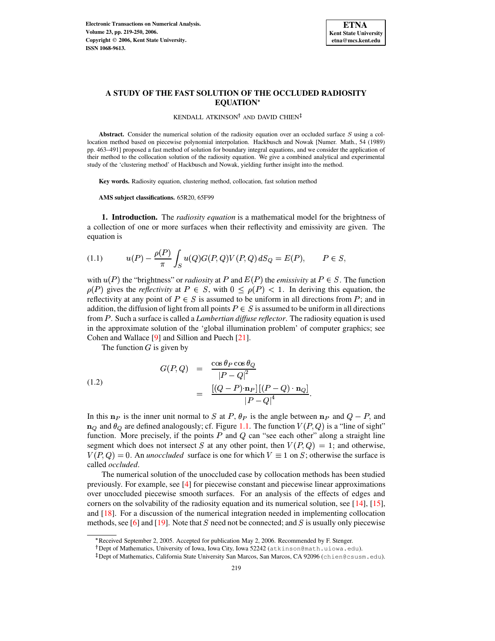

# **A STUDY OF THE FAST SOLUTION OF THE OCCLUDED RADIOSITY EQUATION**

KENDALL ATKINSON<sup>†</sup> AND DAVID CHIEN

**Abstract.** Consider the numerical solution of the radiosity equation over an occluded surface  $S$  using a collocation method based on piecewise polynomial interpolation. Hackbusch and Nowak [Numer. Math., 54 (1989) pp. 463–491] proposed a fast method of solution for boundary integral equations, and we consider the application of their method to the collocation solution of the radiosity equation. We give a combined analytical and experimental study of the 'clustering method' of Hackbusch and Nowak, yielding further insight into the method.

**Key words.** Radiosity equation, clustering method, collocation, fast solution method

**AMS subject classifications.** 65R20, 65F99

**1. Introduction.** The *radiosity equation* is a mathematical model for the brightness of a collection of one or more surfaces when their reflectivity and emissivity are given. The equation is

<span id="page-0-1"></span>(1.1) 
$$
u(P) - \frac{\rho(P)}{\pi} \int_{S} u(Q)G(P,Q)V(P,Q) dS_{Q} = E(P), \qquad P \in S,
$$

with  $u(P)$  the "brightness" or *radiosity* at P and  $E(P)$  the *emissivity* at  $P \in S$ . The function  $\rho(P)$  gives the *reflectivity* at  $P \in S$ , with  $0 \leq \rho(P) < 1$ . In deriving this equation, the reflectivity at any point of  $P \in S$  is assumed to be uniform in all directions from P; and in addition, the diffusion of light from all points  $P \in S$  is assumed to be uniform in all directions from . Such a surface is called a *Lambertian diffuse reflector*. The radiosity equation is used in the approximate solution of the 'global illumination problem' of computer graphics; see Cohen and Wallace [\[9\]](#page-30-0) and Sillion and Puech [\[21\]](#page-31-0).

<span id="page-0-0"></span>The function  $G$  is given by

(1.2)  

$$
G(P,Q) = \frac{\cos \theta_P \cos \theta_Q}{|P-Q|^2}
$$

$$
= \frac{\left[ (Q-P)\cdot \mathbf{n}_P \right] \left[ (P-Q)\cdot \mathbf{n}_Q \right]}{|P-Q|^4}.
$$

In this  $n_P$  is the inner unit normal to S at P,  $\theta_P$  is the angle between  $n_P$  and  $Q - P$ , and  $\mathbf{n}_{Q}$  and  $\theta_{Q}$  are defined analogously; cf. Figure [1.1.](#page-1-0) The function  $V(P,Q)$  is a "line of sight" function. More precisely, if the points  $P$  and  $Q$  can "see each other" along a straight line segment which does not intersect S at any other point, then  $V(P,Q) = 1$ ; and otherwise,  $V(P,Q) = 0$ . An *unoccluded* surface is one for which  $V \equiv 1$  on S; otherwise the surface is called *occluded*.

The numerical solution of the unoccluded case by collocation methods has been studied previously. For example, see [\[4\]](#page-30-1) for piecewise constant and piecewise linear approximations over unoccluded piecewise smooth surfaces. For an analysis of the effects of edges and corners on the solvability of the radiosity equation and its numerical solution, see [\[14\]](#page-31-1), [\[15\]](#page-31-2), and [\[18\]](#page-31-3). For a discussion of the numerical integration needed in implementing collocation methods, see [\[6\]](#page-30-2) and [\[19\]](#page-31-4). Note that S need not be connected; and S is usually only piecewise

<sup>\*</sup> Received September 2, 2005. Accepted for publication May 2, 2006. Recommended by F. Stenger.

Dept of Mathematics, University of Iowa, Iowa City, Iowa 52242 (atkinson@math.uiowa.edu).

<sup>-</sup> Dept of Mathematics, California State University San Marcos, San Marcos, CA 92096 (chien@csusm.edu).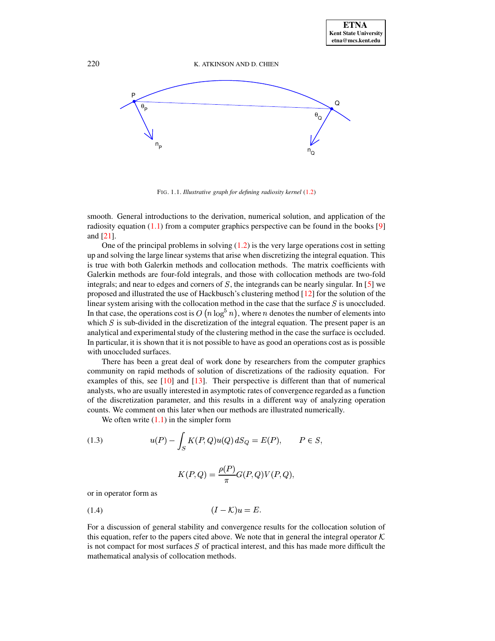

<span id="page-1-0"></span>FIG. 1.1. *Illustrative graph for defining radiosity kernel* [\(1.2\)](#page-0-0)

smooth. General introductions to the derivation, numerical solution, and application of the radiosity equation  $(1.1)$  from a computer graphics perspective can be found in the books [\[9\]](#page-30-0) and [\[21\]](#page-31-0).

One of the principal problems in solving  $(1.2)$  is the very large operations cost in setting up and solving the large linear systems that arise when discretizing the integral equation. This is true with both Galerkin methods and collocation methods. The matrix coefficients with Galerkin methods are four-fold integrals, and those with collocation methods are two-fold integrals; and near to edges and corners of  $S$ , the integrands can be nearly singular. In [\[5\]](#page-30-3) we proposed and illustrated the use of Hackbusch's clustering method [\[12\]](#page-31-5) for the solution of the linear system arising with the collocation method in the case that the surface  $S$  is unoccluded. In that case, the operations cost is  $O(n \log^5 n)$ , where *n* denotes the number of elements into which  $S$  is sub-divided in the discretization of the integral equation. The present paper is an analytical and experimental study of the clustering method in the case the surface is occluded. In particular, it is shown that it is not possible to have as good an operations cost as is possible with unoccluded surfaces.

There has been a great deal of work done by researchers from the computer graphics community on rapid methods of solution of discretizations of the radiosity equation. For examples of this, see [\[10\]](#page-30-4) and [\[13\]](#page-31-6). Their perspective is different than that of numerical analysts, who are usually interested in asymptotic rates of convergence regarded as a function of the discretization parameter, and this results in a different way of analyzing operation counts. We comment on this later when our methods are illustrated numerically.

We often write  $(1.1)$  in the simpler form

(1.3) 
$$
u(P) - \int_{S} K(P,Q)u(Q) dS_{Q} = E(P), \qquad P \in S,
$$

<span id="page-1-1"></span>
$$
K(P,Q) = \frac{\rho(P)}{\pi} G(P,Q) V(P,Q),
$$

<span id="page-1-2"></span>or in operator form as

$$
(1.4) \t\t\t (I - \mathcal{K})u = E.
$$

For a discussion of general stability and convergence results for the collocation solution of this equation, refer to the papers cited above. We note that in general the integral operator  $K$ is not compact for most surfaces  $S$  of practical interest, and this has made more difficult the mathematical analysis of collocation methods.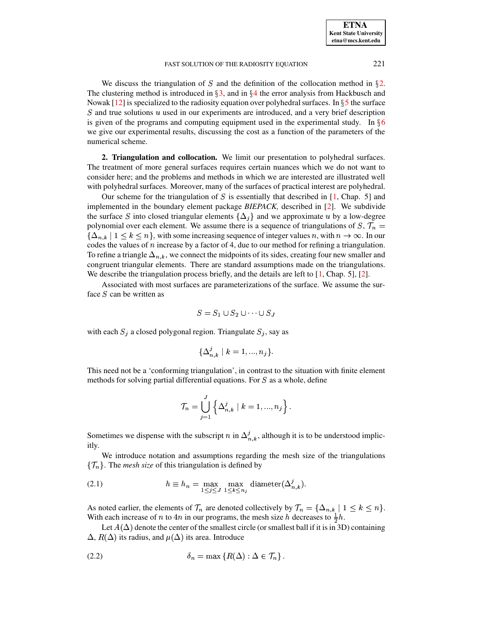We discuss the triangulation of S and the definition of the collocation method in  $\S$ [2.](#page-2-0) The clustering method is introduced in  $\S 3$ , and in  $\S 4$  $\S 4$  the error analysis from Hackbusch and Nowak [\[12\]](#page-31-5) is specialized to the radiosity equation over polyhedral surfaces. In  $\S 5$  $\S 5$  the surface  $S$  and true solutions  $u$  used in our experiments are introduced, and a very brief description is given of the programs and computing equipment used in the experimental study. In  $\S6$  $\S6$ we give our experimental results, discussing the cost as a function of the parameters of the numerical scheme.

<span id="page-2-0"></span>**2. Triangulation and collocation.** We limit our presentation to polyhedral surfaces. The treatment of more general surfaces requires certain nuances which we do not want to consider here; and the problems and methods in which we are interested are illustrated well with polyhedral surfaces. Moreover, many of the surfaces of practical interest are polyhedral.

Our scheme for the triangulation of  $S$  is essentially that described in [\[1,](#page-30-5) Chap. 5] and implemented in the boundary element package *BIEPACK,* described in [\[2\]](#page-30-6). We subdivide the surface S into closed triangular elements  $\{\Delta_j\}$  and we approximate u by a low-degree polynomial over each element. We assume there is a sequence of triangulations of  $S, \mathcal{T}_n =$  $\{\Delta_{n,k}\mid 1\leq k\leq n\}$ , with some increasing sequence of integer values n, with  $n\to\infty$ . In our codes the values of  $n$  increase by a factor of 4, due to our method for refining a triangulation. To refine a triangle  $\Delta_{n,k}$ , we connect the midpoints of its sides, creating four new smaller and congruent triangular elements. There are standard assumptions made on the triangulations. We describe the triangulation process briefly, and the details are left to  $[1,$  Chap. 5],  $[2]$ .

Associated with most surfaces are parameterizations of the surface. We assume the surface  $S$  can be written as

$$
S = S_1 \cup S_2 \cup \cdots \cup S_J
$$

with each  $S_j$  a closed polygonal region. Triangulate  $S_j$ , say as

$$
\{\Delta_{n,k}^j \mid k = 1, ..., n_j\}.
$$

This need not be a 'conforming triangulation', in contrast to the situation with finite element methods for solving partial differential equations. For  $S$  as a whole, define

<span id="page-2-2"></span>
$$
\mathcal{T}_n=\bigcup_{j=1}^J\left\{\Delta_{n,\,k}^j\mid k=1,...,n_j\right\}.
$$

Sometimes we dispense with the subscript n in  $\Delta_{nk}^j$ , although it is to be understood implicitly.

We introduce notation and assumptions regarding the mesh size of the triangulations  $\{\mathcal{T}_n\}$ . The *mesh size* of this triangulation is defined by

(2.1) 
$$
h \equiv h_n = \max_{1 \le j \le J} \max_{1 \le k \le n_j} \text{diameter}(\Delta^j_{n,k}).
$$

As noted earlier, the elements of  $\mathcal{T}_n$  are denoted collectively by  $\mathcal{T}_n = {\{\Delta_{n,k} | 1 \leq k \leq n\}}$ . With each increase of *n* to 4*n* in our programs, the mesh size *h* decreases to  $\frac{1}{2}h$ .

<span id="page-2-1"></span>Let  $A(\Delta)$  denote the center of the smallest circle (or smallest ball if it is in 3D) containing  $\Delta$ ,  $R(\Delta)$  its radius, and  $\mu(\Delta)$  its area. Introduce

$$
\delta_n = \max \left\{ R(\Delta) : \Delta \in \mathcal{T}_n \right\}.
$$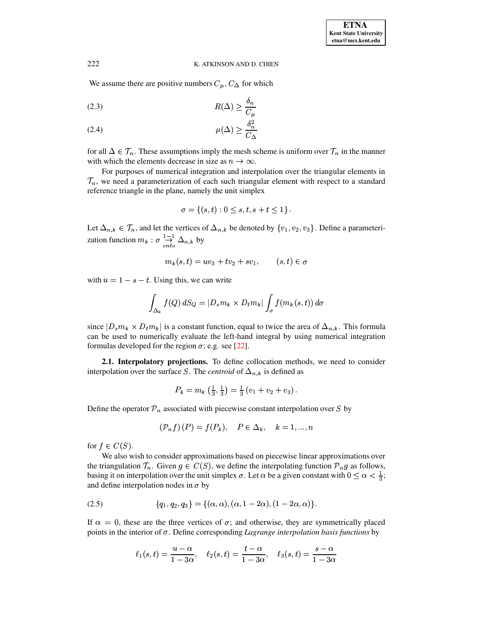We assume there are positive numbers  $C_{\mu}$ ,  $C_{\Delta}$  for which

<span id="page-3-1"></span>
$$
(2.3) \t R(\Delta) \ge \frac{\delta_n}{C_\mu}
$$

<span id="page-3-2"></span>
$$
\mu(\Delta) \ge \frac{\delta_n^2}{C_{\Delta}}
$$

for all  $\Delta \in \mathcal{T}_n$ . These assumptions imply the mesh scheme is uniform over  $\mathcal{T}_n$  in the manner with which the elements decrease in size as  $n \to \infty$ .

For purposes of numerical integration and interpolation over the triangular elements in  $\mathcal{T}_n$ , we need a parameterization of each such triangular element with respect to a standard reference triangle in the plane, namely the unit simplex

$$
\sigma = \{(s, t) : 0 \le s, t, s + t \le 1\}.
$$

Let  $\Delta_{n,k} \in \mathcal{T}_n$ , and let the vertices of  $\Delta_{n,k}$  be denoted by  $\{v_1, v_2, v_3\}$ . Define a parameterization function  $m_k$ :  $\sigma \frac{1}{2} \Delta_{n,k}$  by

$$
m_k(s,t) = uv_3 + tv_2 + sv_1, \qquad (s,t) \in \sigma
$$

with  $u = 1 - s - t$ . Using this, we can write

$$
\int_{\Delta_k} f(Q) dS_Q = |D_s m_k \times D_t m_k| \int_{\sigma} f(m_k(s,t)) d\sigma
$$

since  $|D_s m_k \times D_t m_k|$  is a constant function, equal to twice the area of  $\Delta_{n,k}$ . This formula can be used to numerically evaluate the left-hand integral by using numerical integration formulas developed for the region  $\sigma$ ; e.g. see [\[22\]](#page-31-7).

**2.1. Interpolatory projections.** To define collocation methods, we need to consider interpolation over the surface S. The *centroid* of  $\Delta_{n,k}$  is defined as

$$
P_k = m_k \left( \frac{1}{3}, \frac{1}{3} \right) = \frac{1}{3} \left( v_1 + v_2 + v_3 \right).
$$

Define the operator  $\mathcal{P}_n$  associated with piecewise constant interpolation over S by

<span id="page-3-0"></span>
$$
\left(\mathcal{P}_n f\right)\left(P\right) = f(P_k), \quad P \in \Delta_k, \quad k = 1, ..., n
$$

for  $f \in C(S)$ .

We also wish to consider approximations based on piecewise linear approximations over the triangulation  $\mathcal{T}_n$ . Given  $g \in C(S)$ , we define the interpolating function  $\mathcal{P}_n g$  as follows, basing it on interpolation over the unit simplex  $\sigma$ . Let  $\alpha$  be a given constant with  $0 \leq \alpha < \frac{1}{3}$ ; and define interpolation nodes in  $\sigma$  by

(2.5) 
$$
\{q_1, q_2, q_3\} = \{(\alpha, \alpha), (\alpha, 1 - 2\alpha), (1 - 2\alpha, \alpha)\}.
$$

If  $\alpha = 0$ , these are the three vertices of  $\sigma$ ; and otherwise, they are symmetrically placed points in the interior of  $\sigma$ . Define corresponding *Lagrange interpolation basis functions* by

$$
\ell_1(s,t)=\frac{u-\alpha}{1-3\alpha},\quad \ell_2(s,t)=\frac{t-\alpha}{1-3\alpha},\quad \ell_3(s,t)=\frac{s-\alpha}{1-3\alpha}
$$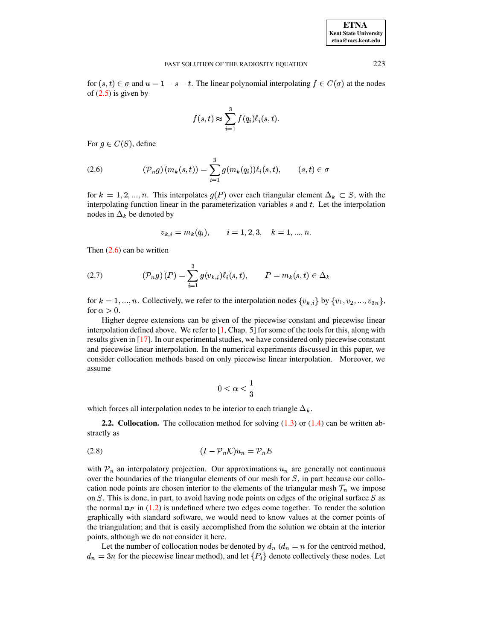| <b>ETNA</b>           |
|-----------------------|
| Kent State University |
| etna@mcs.kent.edu     |

for  $(s, t) \in \sigma$  and  $u = 1 - s - t$ . The linear polynomial interpolating  $f \in C(\sigma)$  at the nodes of  $(2.5)$  is given by

$$
f(s,t) \approx \sum_{i=1}^{3} f(q_i) \ell_i(s,t).
$$

<span id="page-4-0"></span>For  $g \in C(S)$ , define

$$
(2.6) \qquad (\mathcal{P}_n g) \left( m_k(s, t) \right) = \sum_{i=1}^3 g(m_k(q_i)) \ell_i(s, t), \qquad (s, t) \in \sigma
$$

for  $k = 1, 2, ..., n$ . This interpolates  $g(P)$  over each triangular element  $\Delta_k \subset S$ , with the interpolating function linear in the parameterization variables  $s$  and  $t$ . Let the interpolation nodes in  $\Delta_k$  be denoted by

$$
v_{k,i}=m_k(q_i),\qquad i=1,2,3,\quad k=1,...,n.
$$

<span id="page-4-1"></span>Then  $(2.6)$  can be written

(2.7) 
$$
(\mathcal{P}_n g)(P) = \sum_{i=1}^3 g(v_{k,i}) \ell_i(s,t), \qquad P = m_k(s,t) \in \Delta_k
$$

for  $k = 1, ..., n$ . Collectively, we refer to the interpolation nodes  $\{v_{k,i}\}$  by  $\{v_1, v_2, ..., v_{3n}\},$ for  $\alpha > 0$ .

Higher degree extensions can be given of the piecewise constant and piecewise linear interpolation defined above. We refer to [\[1,](#page-30-5) Chap. 5] for some of the tools for this, along with results given in  $[17]$ . In our experimental studies, we have considered only piecewise constant and piecewise linear interpolation. In the numerical experiments discussed in this paper, we consider collocation methods based on only piecewise linear interpolation. Moreover, we assume

$$
0<\alpha<\frac{1}{3}
$$

<span id="page-4-3"></span>which forces all interpolation nodes to be interior to each triangle  $\Delta_k$ .

<span id="page-4-2"></span>**2.2. Collocation.** The collocation method for solving  $(1.3)$  or  $(1.4)$  can be written abstractly as

$$
(1 - \mathcal{P}_n \mathcal{K}) u_n = \mathcal{P}_n E
$$

with  $\mathcal{P}_n$  an interpolatory projection. Our approximations  $u_n$  are generally not continuous over the boundaries of the triangular elements of our mesh for  $S$ , in part because our collocation node points are chosen interior to the elements of the triangular mesh  $\mathcal{T}_n$  we impose on  $S$ . This is done, in part, to avoid having node points on edges of the original surface  $S$  as the normal  $\mathbf{n}_P$  in [\(1.2\)](#page-0-0) is undefined where two edges come together. To render the solution graphically with standard software, we would need to know values at the corner points of the triangulation; and that is easily accomplished from the solution we obtain at the interior points, although we do not consider it here.

Let the number of collocation nodes be denoted by  $d_n$  ( $d_n = n$  for the centroid method,  $d_n = 3n$  for the piecewise linear method), and let  $\{P_i\}$  denote collectively these nodes. Let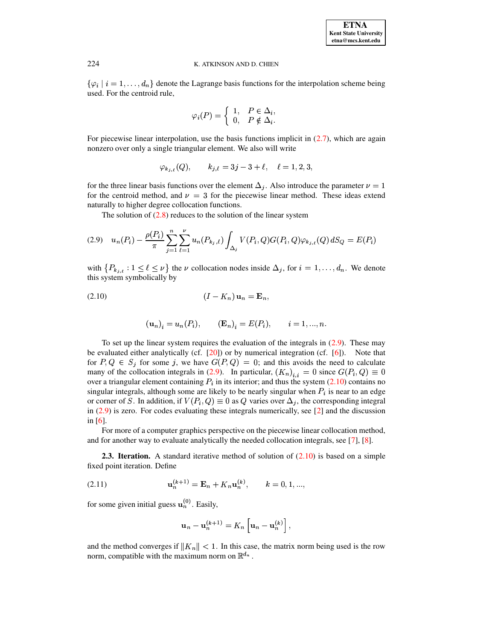$\{\varphi_i \mid i = 1, \ldots, d_n\}$  denote the Lagrange basis functions for the interpolation scheme being used. For the centroid rule,

$$
\varphi_i(P) = \begin{cases} 1, & P \in \Delta_i, \\ 0, & P \notin \Delta_i. \end{cases}
$$

For piecewise linear interpolation, use the basis functions implicit in  $(2.7)$ , which are again nonzero over only a single triangular element. We also will write

<span id="page-5-0"></span>
$$
\varphi_{k_{j,\ell}}(Q), \qquad k_{j,\ell} = 3j - 3 + \ell, \quad \ell = 1, 2, 3,
$$

for the three linear basis functions over the element  $\Delta_j$ . Also introduce the parameter  $\nu = 1$ for the centroid method, and  $\nu = 3$  for the piecewise linear method. These ideas extend naturally to higher degree collocation functions.

The solution of  $(2.8)$  reduces to the solution of the linear system

$$
(2.9) \quad u_n(P_i) - \frac{\rho(P_i)}{\pi} \sum_{j=1}^n \sum_{\ell=1}^\nu u_n(P_{k_j,\ell}) \int_{\Delta_j} V(P_i,Q) G(P_i,Q) \varphi_{k_j,\ell}(Q) \, dS_Q = E(P_i)
$$

<span id="page-5-1"></span>with  $\{P_{k_{j,\ell}}:1\leq\ell\leq\nu\}$  the  $\nu$  collocation nodes inside  $\Delta_j$ , for  $i=1,\ldots,d_n$ . We denote this system symbolically by

$$
(2.10) \t\t\t (I - K_n) \mathbf{u}_n = \mathbf{E}_n,
$$

$$
(\mathbf{u}_n)_i = u_n(P_i), \qquad (\mathbf{E}_n)_i = E(P_i), \qquad i = 1, ..., n.
$$

To set up the linear system requires the evaluation of the integrals in  $(2.9)$ . These may be evaluated either analytically (cf.  $[20]$ ) or by numerical integration (cf.  $[6]$ ). Note that for  $P, Q \in S_j$  for some j, we have  $G(P, Q) = 0$ ; and this avoids the need to calculate many of the collocation integrals in (2.9). In particular,  $(K_n)_{i,i} = 0$  since  $G(P_i, Q) \equiv 0$ over a triangular element containing  $P_i$  in its interior; and thus the system (2.10) contains no singular integrals, although some are likely to be nearly singular when  $P_i$  is near to an edge or corner of S. In addition, if  $V(P_i, Q) \equiv 0$  as Q varies over  $\Delta_i$ , the corresponding integral in  $(2.9)$  is zero. For codes evaluating these integrals numerically, see  $[2]$  and the discussion in  $[6]$ .

For more of a computer graphics perspective on the piecewise linear collocation method, and for another way to evaluate analytically the needed collocation integrals, see [7], [8].

<span id="page-5-3"></span><span id="page-5-2"></span>**2.3. Iteration.** A standard iterative method of solution of  $(2.10)$  is based on a simple fixed point iteration. Define

(2.11) 
$$
\mathbf{u}_n^{(k+1)} = \mathbf{E}_n + K_n \mathbf{u}_n^{(k)}, \qquad k = 0, 1, ...,
$$

for some given initial guess  $\mathbf{u}_n^{(0)}$ . Easily,

$$
\mathbf{u}_n - \mathbf{u}_n^{(k+1)} = K_n \left[ \mathbf{u}_n - \mathbf{u}_n^{(k)} \right],
$$

and the method converges if  $||K_n|| < 1$ . In this case, the matrix norm being used is the row norm, compatible with the maximum norm on  $\mathbb{R}^{d_n}$ .

224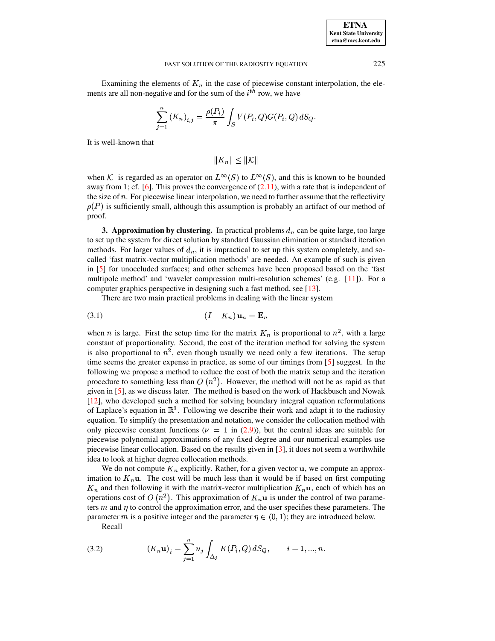Examining the elements of  $K_n$  in the case of piecewise constant interpolation, the elements are all non-negative and for the sum of the  $i<sup>th</sup>$  row, we have

$$
\sum_{j=1}^{n} (K_n)_{i,j} = \frac{\rho(P_i)}{\pi} \int_{S} V(P_i, Q) G(P_i, Q) dS_Q.
$$

It is well-known that

<span id="page-6-2"></span> $\|K_n\| \leq \|\mathcal{K}\|$ 

when K is regarded as an operator on  $L^{\infty}(S)$  to  $L^{\infty}(S)$ , and this is known to be bounded away from 1; cf. [\[6\]](#page-30-2). This proves the convergence of  $(2.11)$ , with a rate that is independent of the size of  $n$ . For piecewise linear interpolation, we need to further assume that the reflectivity  $\rho(P)$  is sufficiently small, although this assumption is probably an artifact of our method of proof.

<span id="page-6-0"></span>**3. Approximation by clustering.** In practical problems  $d_n$  can be quite large, too large to set up the system for direct solution by standard Gaussian elimination or standard iteration methods. For larger values of  $d_n$ , it is impractical to set up this system completely, and socalled 'fast matrix-vector multiplication methods' are needed. An example of such is given in [\[5\]](#page-30-3) for unoccluded surfaces; and other schemes have been proposed based on the 'fast multipole method' and 'wavelet compression multi-resolution schemes' (e.g. [\[11\]](#page-31-10)). For a computer graphics perspective in designing such a fast method, see [\[13\]](#page-31-6).

There are two main practical problems in dealing with the linear system

$$
(3.1) \t\t\t (I - K_n) \mathbf{u}_n = \mathbf{E}_n
$$

when *n* is large. First the setup time for the matrix  $K_n$  is proportional to  $n^2$ , with a large constant of proportionality. Second, the cost of the iteration method for solving the system is also proportional to  $n^2$ , even though usually we need only a few iterations. The setup time seems the greater expense in practice, as some of our timings from [\[5\]](#page-30-3) suggest. In the following we propose a method to reduce the cost of both the matrix setup and the iteration procedure to something less than  $O(n^2)$ . However, the method will not be as rapid as that given in [\[5\]](#page-30-3), as we discuss later. The method is based on the work of Hackbusch and Nowak [\[12\]](#page-31-5), who developed such a method for solving boundary integral equation reformulations of Laplace's equation in  $\mathbb{R}^3$ . Following we describe their work and adapt it to the radiosity equation. To simplify the presentation and notation, we consider the collocation method with only piecewise constant functions ( $\nu = 1$  in [\(2.9\)](#page-5-0)), but the central ideas are suitable for piecewise polynomial approximations of any fixed degree and our numerical examples use piecewise linear collocation. Based on the results given in [\[3\]](#page-30-9), it does not seem a worthwhile idea to look at higher degree collocation methods.

where a migher degree conocation methods.<br>We do not compute  $K_n$  explicitly. Rather, for a given vector  $\mathbf{u}$ , we compute an approximation to  $K_n$ **u**. The cost will be much less than it would be if based on first computing and then following it with the matrix-vector multiplication  $K_n$ **u**, each of which has an and then following it with the matrix-vector multiplication  $K_n$ **u**, each of which has an  $\sum_{n=1}^{\infty}$  and then following it with the matrix vector matterpretation  $\sum_{n=1}^{\infty}$  calculated with the control of two parameters  $m$  and  $\eta$  to control the approximation error, and the user specifies these parameters. The parameter m is a positive integer and the parameter  $\eta \in (0,1)$ ; they are introduced below.

Recall

<span id="page-6-1"></span>(3.2) 
$$
(K_n \mathbf{u})_i = \sum_{j=1}^n u_j \int_{\Delta_j} K(P_i, Q) dS_Q, \qquad i = 1, ..., n.
$$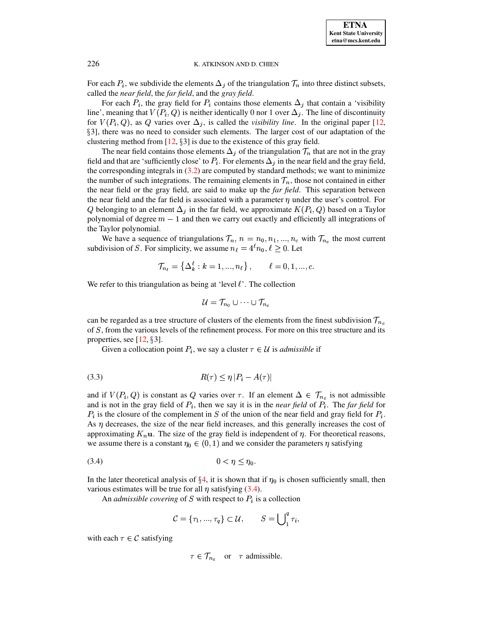**ETNA Kent State University etna@mcs.kent.edu**

# 226 K. ATKINSON AND D. CHIEN

For each  $P_i$ , we subdivide the elements  $\Delta_i$  of the triangulation  $\mathcal{T}_n$  into three distinct subsets, called the *near field*, the *far field*, and the *gray field*. <sup>Æ</sup> <sup>Æ</sup>

For each  $P_i$ , the gray field for  $P_i$  contains those elements  $\Delta_i$  that contain a 'visibility For each  $P_i$ , the gray field for  $P_i$  contains those elements  $\Delta_j$  that contain a 'visibility line', meaning that  $V(P_i, Q)$  is neither identically 0 nor 1 over  $\Delta_j$ . The line of discontinuity line', meaning that  $V(P_i, Q)$  is neither identically 0 nor 1 over  $\Delta_j$ . The line of discontinuity for  $V(P_i, Q)$ , as Q varies over  $\Delta_j$ , is called the *visibility line*. In the original paper [\[12,](#page-31-5) §3], there was no need to consider such elements. The larger cost of our adaptation of the clustering method from  $[12, §3]$  $[12, §3]$  is due to the existence of this gray field.

The near field contains those elements  $\Delta_i$  of the triangulation  $\mathcal{T}_n$  that are not in the gray field and that are 'sufficiently close' to  $P_i$ . For elements  $\Delta_i$  in the near field and the gray field, the corresponding integrals in  $(3.2)$  are computed by standard methods; we want to minimize the number of such integrations. The remaining elements in  $\mathcal{T}_n$ , those not contained in either the near field or the gray field, are said to make up the *far field*. This separation between the near field and the far field is associated with a parameter  $\eta$  under the user's control. For  $Q$  belonging to an element  $\Delta_j$  in the far field, we approximate  $K(P_i, Q)$  based on a Taylor polynomial of degree  $m-1$  and then we carry out exactly and efficiently all integrations of the Taylor polynomial.

We have a sequence of triangulations  $\mathcal{T}_n$ ,  $n = n_0, n_1, ..., n_c$  with  $\mathcal{T}_{n_c}$  the most current subdivision of S. For simplicity, we assume  $n_{\ell} = 4^{\ell} n_0, \ell \ge 0$ . Let

$$
\mathcal{T}_{n_{\ell}} = \{ \Delta_k^{\ell} : k = 1, ..., n_{\ell} \}, \qquad \ell = 0, 1, ..., c.
$$

We refer to this triangulation as being at 'level  $\ell$ '. The collection

$$
\mathcal{U} = \mathcal{T}_{n_0} \cup \cdots \cup \mathcal{T}_{n_c}
$$

can be regarded as a tree structure of clusters of the elements from the finest subdivision  $\mathcal{T}_{n_c}$ of S, from the various levels of the refinement process. For more on this tree structure and its properties, see  $[12, §3]$  $[12, §3]$ .

Given a collocation point  $P_i$ , we say a cluster  $\tau \in \mathcal{U}$  is *admissible* if

<span id="page-7-1"></span>
$$
(3.3) \t\t R(\tau) \le \eta \, |P_i - A(\tau)|
$$

and if  $V(P_i, Q)$  is constant as Q varies over  $\tau$ . If an element  $\Delta \in \mathcal{T}_{n_c}$  is not admissible and is not in the gray field of  $P_i$ , then we say it is in the *near field* of  $P_i$ . The *far field* for  $P_i$  is the closure of the complement in S of the union of the near field and gray field for  $P_i$ . As  $\eta$  decreases, the size of the near field increases, and this generally increases the cost of  $x_{\rm s}$ , decreases, the size of the hear here increases, and this generally increases the cost of approximating  $K_n$ **u**. The size of the gray field is independent of  $\eta$ . For theoretical reasons, we assume there is a constant  $\eta_0 \in (0,1)$  and we consider the parameters  $\eta$  satisfying

$$
(3.4) \t\t 0 < \eta \le \eta_0.
$$

In the later theoretical analysis of  $\S 4$ , it is shown that if  $\eta_0$  is chosen sufficiently small, then various estimates will be true for all  $\eta$  satisfying [\(3.4\)](#page-7-0).

An *admissible covering* of  $S$  with respect to  $P_i$  is a collection

<span id="page-7-0"></span>
$$
\mathcal{C} = \{\tau_1, ..., \tau_q\} \subset \mathcal{U}, \qquad S = \bigcup_1^q \tau_i,
$$

with each  $\tau \in \mathcal{C}$  satisfying

$$
\tau \in \mathcal{T}_{n_c} \quad \text{or} \quad \tau \text{ admissible}.
$$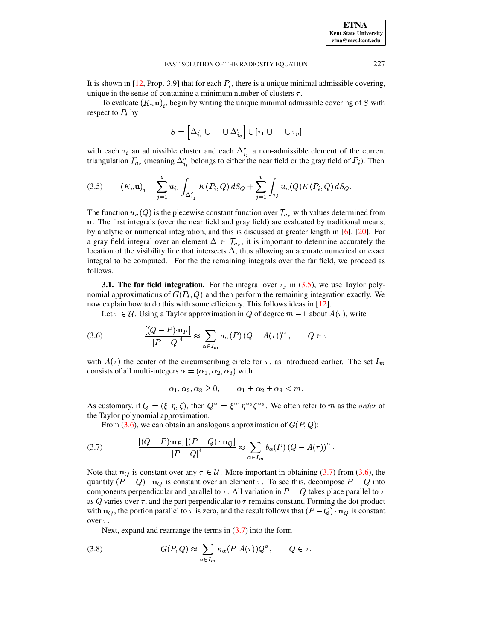It is shown in [12, Prop. 3.9] that for each  $P_i$ , there is a unique minimal admissible covering, unique in the sense of containing a minimum number of clusters  $\tau$ .

To evaluate  $(K_n\mathbf{u})$ , begin by writing the unique minimal admissible covering of S with respect to  $P_i$  by

<span id="page-8-0"></span>
$$
S = \left[\Delta_{i_1}^c \cup \cdots \cup \Delta_{i_q}^c\right] \cup \left[\tau_1 \cup \cdots \cup \tau_p\right]
$$

with each  $\tau_i$  an admissible cluster and each  $\Delta_{i}^c$  a non-admissible element of the current triangulation  $\mathcal{T}_{n_c}$  (meaning  $\Delta_{i_i}^c$  belongs to either the near field or the gray field of  $P_i$ ). Then

$$
(3.5) \qquad (K_n \mathbf{u})_i = \sum_{j=1}^q u_{i_j} \int_{\Delta_{i_j}^c} K(P_i, Q) \, dS_Q + \sum_{j=1}^p \int_{\tau_j} u_n(Q) K(P_i, Q) \, dS_Q.
$$

The function  $u_n(Q)$  is the piecewise constant function over  $\mathcal{T}_{n_c}$  with values determined from u. The first integrals (over the near field and gray field) are evaluated by traditional means, by analytic or numerical integration, and this is discussed at greater length in [6], [20]. For a gray field integral over an element  $\Delta \in \mathcal{T}_{n_c}$ , it is important to determine accurately the location of the visibility line that intersects  $\Delta$ , thus allowing an accurate numerical or exact integral to be computed. For the the remaining integrals over the far field, we proceed as follows.

<span id="page-8-4"></span>**3.1. The far field integration.** For the integral over  $\tau_j$  in (3.5), we use Taylor polynomial approximations of  $G(P_i, Q)$  and then perform the remaining integration exactly. We now explain how to do this with some efficiency. This follows ideas in [12].

Let  $\tau \in \mathcal{U}$ . Using a Taylor approximation in Q of degree  $m-1$  about  $A(\tau)$ , write

$$
(3.6) \qquad \frac{\left[ (Q - P) \cdot \mathbf{n}_P \right]}{\left| P - Q \right|^4} \approx \sum_{\alpha \in I_m} a_{\alpha}(P) \left( Q - A(\tau) \right)^{\alpha}, \qquad Q \in \tau
$$

with  $A(\tau)$  the center of the circumscribing circle for  $\tau$ , as introduced earlier. The set  $I_m$ consists of all multi-integers  $\alpha = (\alpha_1, \alpha_2, \alpha_3)$  with

<span id="page-8-2"></span><span id="page-8-1"></span>
$$
\alpha_1, \alpha_2, \alpha_3 \ge 0, \qquad \alpha_1 + \alpha_2 + \alpha_3 < m.
$$

As customary, if  $Q = (\xi, \eta, \zeta)$ , then  $Q^{\alpha} = \xi^{\alpha_1} \eta^{\alpha_2} \zeta^{\alpha_3}$ . We often refer to m as the *order* of the Taylor polynomial approximation.

From (3.6), we can obtain an analogous approximation of  $G(P,Q)$ :

(3.7) 
$$
\frac{\left[ (Q - P) \cdot \mathbf{n}_P \right] \left[ (P - Q) \cdot \mathbf{n}_Q \right]}{\left| P - Q \right|^4} \approx \sum_{\alpha \in I_m} b_{\alpha}(P) \left( Q - A(\tau) \right)^{\alpha}
$$

Note that  $n_Q$  is constant over any  $\tau \in \mathcal{U}$ . More important in obtaining (3.7) from (3.6), the quantity  $(P - Q) \cdot \mathbf{n}_Q$  is constant over an element  $\tau$ . To see this, decompose  $P - Q$  into components perpendicular and parallel to  $\tau$ . All variation in  $P - Q$  takes place parallel to  $\tau$ as Q varies over  $\tau$ , and the part perpendicular to  $\tau$  remains constant. Forming the dot product with  $n_Q$ , the portion parallel to  $\tau$  is zero, and the result follows that  $(P - Q) \cdot n_Q$  is constant over  $\tau$ .

<span id="page-8-3"></span>Next, expand and rearrange the terms in  $(3.7)$  into the form

(3.8) 
$$
G(P,Q) \approx \sum_{\alpha \in I_m} \kappa_{\alpha}(P,A(\tau)) Q^{\alpha}, \qquad Q \in \tau.
$$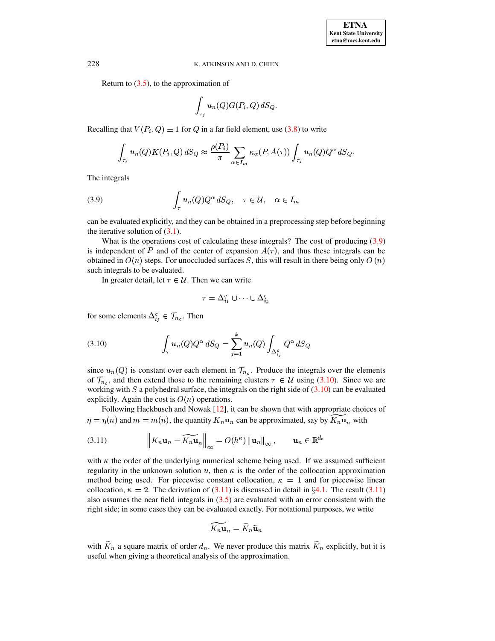Return to  $(3.5)$ , to the approximation of

$$
\int_{\tau_j} u_n(Q) G(P_i,Q) \, dS_Q.
$$

Recalling that  $V(P_i, Q) \equiv 1$  for  $Q$  in a far field element, use [\(3.8\)](#page-8-3) to write

$$
\int_{\tau_j} u_n(Q) K(P_i, Q) dS_Q \approx \frac{\rho(P_i)}{\pi} \sum_{\alpha \in I_m} \kappa_\alpha(P, A(\tau)) \int_{\tau_j} u_n(Q) Q^{\alpha} dS_Q.
$$

<span id="page-9-0"></span>The integrals

(3.9) 
$$
\int_{\tau} u_n(Q) Q^{\alpha} dS_Q, \quad \tau \in \mathcal{U}, \quad \alpha \in I_m
$$

can be evaluated explicitly, and they can be obtained in a preprocessing step before beginning the iterative solution of  $(3.1)$ .

What is the operations cost of calculating these integrals? The cost of producing [\(3.9\)](#page-9-0) is independent of P and of the center of expansion  $A(\tau)$ , and thus these integrals can be obtained in  $O(n)$  steps. For unoccluded surfaces S, this will result in there being only  $O(n)$ such integrals to be evaluated.

<span id="page-9-1"></span>In greater detail, let  $\tau \in \mathcal{U}$ . Then we can write

$$
\tau = \Delta_{i_1}^c \cup \cdots \cup \Delta_{i_k}^c
$$

for some elements  $\Delta_{i,j}^c \in \mathcal{T}_{n_c}$ . Then

(3.10) 
$$
\int_{\tau} u_n(Q) Q^{\alpha} dS_Q = \sum_{j=1}^{k} u_n(Q) \int_{\Delta_{i_j}^c} Q^{\alpha} dS_Q
$$

since  $u_n(Q)$  is constant over each element in  $\mathcal{T}_{n_c}$ . Produce the integrals over the elements of  $\mathcal{T}_{n_c}$ , and then extend those to the remaining clusters  $\tau \in \mathcal{U}$  using [\(3.10\)](#page-9-1). Since we are working with  $S$  a polyhedral surface, the integrals on the right side of  $(3.10)$  can be evaluated explicitly. Again the cost is  $O(n)$  operations.

Following Hackbusch and Nowak  $[12]$ , it can be shown that with appropriate choices of  $\eta = \eta(n)$  and  $m = m(n)$ , the quantity  $K_n$ **u**<sub>n</sub> can be approximated, say by  $\widetilde{K_n}$ **u**<sub>n</sub> with

(3.11) 
$$
\left\|K_n\mathbf{u}_n - \widetilde{K_n\mathbf{u}}_n\right\|_{\infty} = O(h^{\kappa})\left\|\mathbf{u}_n\right\|_{\infty}, \qquad \mathbf{u}_n \in \mathbb{R}^{d_n}
$$

with  $\kappa$  the order of the underlying numerical scheme being used. If we assumed sufficient regularity in the unknown solution u, then  $\kappa$  is the order of the collocation approximation method being used. For piecewise constant collocation,  $\kappa = 1$  and for piecewise linear collocation,  $\kappa = 2$ . The derivation of [\(3.11\)](#page-9-2) is discussed in detail in §[4.1.](#page-11-0) The result (3.11) also assumes the near field integrals in [\(3.5\)](#page-8-0) are evaluated with an error consistent with the right side; in some cases they can be evaluated exactly. For notational purposes, we write

<span id="page-9-2"></span>
$$
\widetilde{K_n \mathbf{u}}_n = \widetilde{K}_n \widetilde{\mathbf{u}}_n
$$

with  $\widetilde{K}_n$  a square matrix of order  $d_n$ . We never produce this matrix  $\widetilde{K}_n$  explicitly, but it is useful when giving a theoretical analysis of the approximation.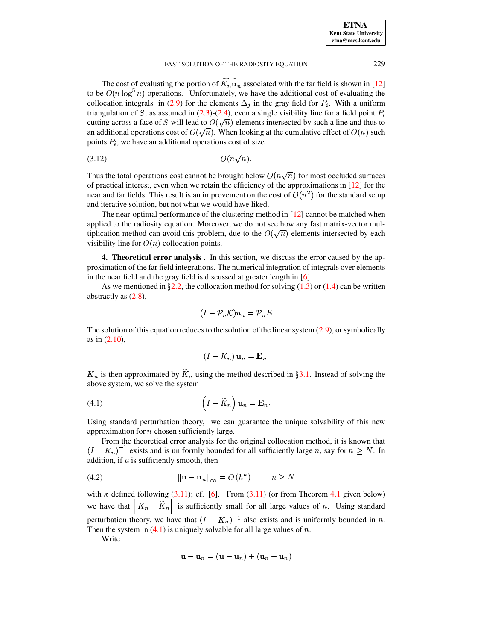The cost of evaluating the portion of  $\widetilde{K_n \mathbf{u}}_n$  associated with the far field is shown in [\[12\]](#page-31-5) to be  $O(n \log^5 n)$  operations. Unfortunately, we have the additional cost of evaluating the collocation integrals in [\(2.9\)](#page-5-0) for the elements  $\Delta_i$  in the gray field for  $P_i$ . With a uniform triangulation of S, as assumed in  $(2.3)-(2.4)$  $(2.3)-(2.4)$  $(2.3)-(2.4)$ , even a single visibility line for a field point  $P_i$ cutting across a face of S will lead to  $O(\sqrt{n})$  elements intersected by such a line and thus to an additional operations cost of  $O(\sqrt{n})$ . When looking at the cumulative effect of  $O(n)$  such points  $P_i$ , we have an additional operations cost of size

<span id="page-10-3"></span>(3.12) <sup>W</sup> Y <sup>Y</sup> 

Thus the total operations cost cannot be brought below  $O(n\sqrt{n})$  for most occluded surfaces of practical interest, even when we retain the efficiency of the approximations in  $[12]$  for the near and far fields. This result is an improvement on the cost of  $O(n^2)$  for the standard setup and iterative solution, but not what we would have liked.

The near-optimal performance of the clustering method in  $[12]$  cannot be matched when applied to the radiosity equation. Moreover, we do not see how any fast matrix-vector multiplication method can avoid this problem, due to the  $O(\sqrt{n})$  elements intersected by each visibility line for  $O(n)$  collocation points.

<span id="page-10-0"></span>**4. Theoretical error analysis .** In this section, we discuss the error caused by the approximation of the far field integrations. The numerical integration of integrals over elements in the near field and the gray field is discussed at greater length in [\[6\]](#page-30-2).

As we mentioned in  $\S 2.2$ , the collocation method for solving [\(1.3\)](#page-1-1) or [\(1.4\)](#page-1-2) can be written abstractly as [\(2.8\)](#page-4-2),

$$
(I - \mathcal{P}_n \mathcal{K}) u_n = \mathcal{P}_n E
$$

The solution of this equation reduces to the solution of the linear system  $(2.9)$ , or symbolically as in [\(2.10\)](#page-5-1),

$$
(I - K_n) \mathbf{u}_n = \mathbf{E}_n.
$$

<span id="page-10-1"></span>*n* is then approximated by  $\widetilde{K}_n$  using the method described in §[3.1.](#page-8-4) Instead of solving the above system, we solve the system

(4.1) 
$$
\left(I - \widetilde{K}_n\right)\widetilde{\mathbf{u}}_n = \mathbf{E}_n.
$$

Using standard perturbation theory, we can guarantee the unique solvability of this new approximation for  $n$  chosen sufficiently large.

<span id="page-10-2"></span>From the theoretical error analysis for the original collocation method, it is known that  $(I - K_n)^{-1}$  exists and is uniformly bounded for all sufficiently large n, say for  $n \ge N$ . In addition, if  $u$  is sufficiently smooth, then

(4.2) <sup>é</sup> Þ+ NÞ <sup>x</sup> <sup>é</sup> " <sup>W</sup> ! <sup>Y</sup> ¨%\$

with  $\kappa$  defined following [\(3.11\)](#page-9-2); cf. [\[6\]](#page-30-2). From (3.11) (or from Theorem [4.1](#page-11-1) given below) we have that  $||K_n - \widetilde{K}_n||$  is sufficiently s <sup>x</sup> is sufficiently small for all large values of *n*. Using standard perturbation theory, we have that  $(I - K_n)^{-1}$  also exists and is uniformly bounded in n. Then the system in  $(4.1)$  is uniquely solvable for all large values of n.

Write

$$
\mathbf{u}-\widetilde{\mathbf{u}}_n=(\mathbf{u}-\mathbf{u}_n)+(\mathbf{u}_n-\widetilde{\mathbf{u}}_n)
$$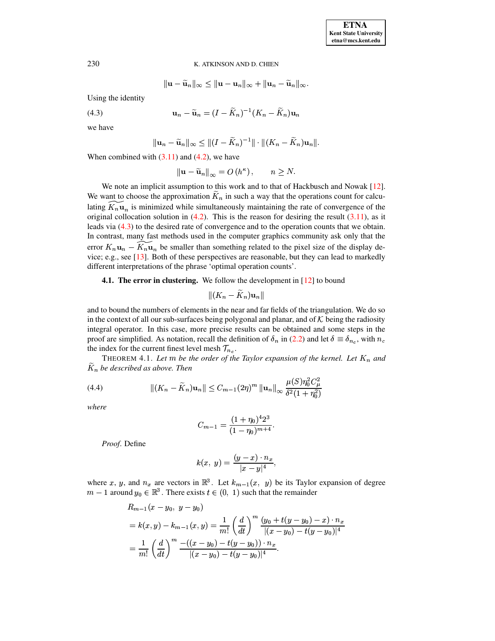$$
\|\mathbf{u}-\widetilde{\mathbf{u}}_n\|_\infty\leq \|\mathbf{u}-\mathbf{u}_n\|_\infty+\|\mathbf{u}_n-\widetilde{\mathbf{u}}_n\|_\infty.
$$

<span id="page-11-2"></span>Using the identity

$$
\mathbf{u}_n - \widetilde{\mathbf{u}}_n = (I - \widetilde{K}_n)^{-1}(K_n - \widetilde{K}_n)\mathbf{u}_n
$$

we have

 $(4.3)$ 

$$
\|\mathbf{u}_n-\widetilde{\mathbf{u}}_n\|_{\infty}\leq \|(I-\widetilde{K}_n)^{-1}\|\cdot\|(K_n-\widetilde{K}_n)\mathbf{u}_n\|.
$$

When combined with  $(3.11)$  and  $(4.2)$ , we have

$$
\left\|\mathbf{u} - \widetilde{\mathbf{u}}_n\right\|_{\infty} = O\left(h^{\kappa}\right), \qquad n \ge N.
$$

We note an implicit assumption to this work and to that of Hackbusch and Nowak [\[12\]](#page-31-5). We want to choose the approximation  $\tilde{K}_n$  in such a way that the operations count for calculating  $\widetilde{K_n \mathbf{u}_n}$  is minimized while simultaneously maintaining the rate of convergence of the original collocation solution in  $(4.2)$ . This is the reason for desiring the result  $(3.11)$ , as it leads via [\(4.3\)](#page-11-2) to the desired rate of convergence and to the operation counts that we obtain. In contrast, many fast methods used in the computer graphics community ask only that the error  $K_n$ **u**<sub>n</sub> –  $\overline{K_n}$ **u**<sub>n</sub> be smaller than something related to the pixel size of the display device; e.g., see [\[13\]](#page-31-6). Both of these perspectives are reasonable, but they can lead to markedly different interpretations of the phrase 'optimal operation counts'.

# **4.1. The error in clustering.** We follow the development in [\[12\]](#page-31-5) to bound

$$
\|(K_n-\widetilde{K}_n)\mathbf{u}_n\|
$$

<span id="page-11-0"></span>and to bound the numbers of elements in the near and far fields of the triangulation. We do so in the context of all our sub-surfaces being polygonal and planar, and of  $K$  being the radiosity integral operator. In this case, more precise results can be obtained and some steps in the proof are simplified. As notation, recall the definition of  $\delta_n$  in [\(2.2\)](#page-2-1) and let  $\delta \equiv \delta_{n_c}$ , with  $n_c$ the index for the current finest level mesh  $\mathcal{T}_{n_c}$ .

<span id="page-11-3"></span><span id="page-11-1"></span>THEOREM 4.1. Let m be the order of the Taylor expansion of the kernel. Let  $K_n$  and  $K_n$  *be described as above. Then* 

in a sub-

(4.4) 
$$
\| (K_n - \widetilde{K}_n) \mathbf{u}_n \| \leq C_{m-1} (2\eta)^m \| \mathbf{u}_n \|_{\infty} \frac{\mu(S) \eta_0^2 C_{\mu}^2}{\delta^2 (1 + \eta_0^2)}
$$

and the company of the company of the

*where*

$$
C_{m-1} = \frac{(1+\eta_0)^4 2^3}{(1-\eta_0)^{m+4}}.
$$

*Proof*. Define

$$
k(x,~y)=\frac{(y-x)\cdot n_x}{|x-y|^4},
$$

where x, y, and  $n_x$  are vectors in  $\mathbb{R}^3$ . Let  $k_{m-1}(x, y)$  be its Taylor expansion of degree  $m-1$  around  $y_0 \in \mathbb{R}^3$ . There exists  $t \in (0, 1)$  such that the remainder

$$
R_{m-1}(x - y_0, y - y_0)
$$
  
=  $k(x, y) - k_{m-1}(x, y) = \frac{1}{m!} \left(\frac{d}{dt}\right)^m \frac{(y_0 + t(y - y_0) - x) \cdot n_x}{|(x - y_0) - t(y - y_0)|^4}$   
=  $\frac{1}{m!} \left(\frac{d}{dt}\right)^m \frac{-( (x - y_0) - t(y - y_0)) \cdot n_x}{|(x - y_0) - t(y - y_0)|^4}.$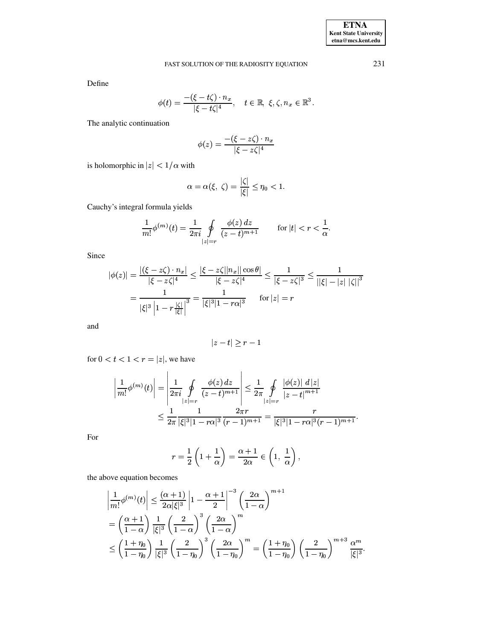Define

$$
\phi(t) = \frac{-(\xi - t\zeta) \cdot n_x}{|\xi - t\zeta|^4}, \quad t \in \mathbb{R}, \ \xi, \zeta, n_x \in \mathbb{R}^3.
$$

The analytic continuation

$$
\phi(z) = \frac{-(\xi - z\zeta) \cdot n_x}{|\xi - z\zeta|^4}
$$

is holomorphic in  $|z| < 1/\alpha$  with

$$
\alpha=\alpha(\xi,\,\zeta)=\frac{|\zeta|}{|\xi|}\leq\eta_0<1.
$$

Cauchy's integral formula yields

$$
\frac{1}{m!}\phi^{(m)}(t)=\frac{1}{2\pi i}\oint\limits_{|z|=r}\frac{\phi(z)\,dz}{(z-t)^{m+1}}\qquad\text{ for }|t|
$$

Since

$$
|\phi(z)| = \frac{|(\xi - z\zeta) \cdot n_x|}{|\xi - z\zeta|^4} \le \frac{|\xi - z\zeta| |n_x| |\cos \theta|}{|\xi - z\zeta|^4} \le \frac{1}{|\xi - z\zeta|^3} \le \frac{1}{||\xi| - |z| |\zeta||^3}
$$

$$
= \frac{1}{|\xi|^3 \left|1 - r\frac{|\zeta|}{|\xi|}\right|^3} = \frac{1}{|\xi|^3 |1 - r\alpha|^3} \quad \text{for } |z| = r
$$

and

$$
||z-t|| \geq r-1
$$

for  $0 < t < 1 < r = |z|$ , we have

$$
\frac{1}{m!} \phi^{(m)}(t) = \left| \frac{1}{2\pi i} \oint_{|z|=r} \frac{\phi(z) dz}{(z-t)^{m+1}} \right| \leq \frac{1}{2\pi} \oint_{|z|=r} \frac{|\phi(z)| dz|}{|z-t|^{m+1}}
$$

$$
\leq \frac{1}{2\pi} \frac{1}{|\xi|^3 |1 - r\alpha|^3} \frac{2\pi r}{(r-1)^{m+1}} = \frac{r}{|\xi|^3 |1 - r\alpha|^3 (r-1)^{m+1}}.
$$

For

$$
r = \frac{1}{2} \left( 1 + \frac{1}{\alpha} \right) = \frac{\alpha + 1}{2\alpha} \in \left( 1, \frac{1}{\alpha} \right),
$$

the above equation becomes

$$
\frac{1}{m!}\phi^{(m)}(t)\Big| \le \frac{(\alpha+1)}{2\alpha|\xi|^3} \left|1 - \frac{\alpha+1}{2}\right|^{-3} \left(\frac{2\alpha}{1-\alpha}\right)^{m+1}
$$
  
=  $\left(\frac{\alpha+1}{1-\alpha}\right) \frac{1}{|\xi|^3} \left(\frac{2}{1-\alpha}\right)^3 \left(\frac{2\alpha}{1-\alpha}\right)^m$   
 $\le \left(\frac{1+\eta_0}{1-\eta_0}\right) \frac{1}{|\xi|^3} \left(\frac{2}{1-\eta_0}\right)^3 \left(\frac{2\alpha}{1-\eta_0}\right)^m = \left(\frac{1+\eta_0}{1-\eta_0}\right) \left(\frac{2}{1-\eta_0}\right)^{m+3} \frac{\alpha^m}{|\xi|^3}.$ 

231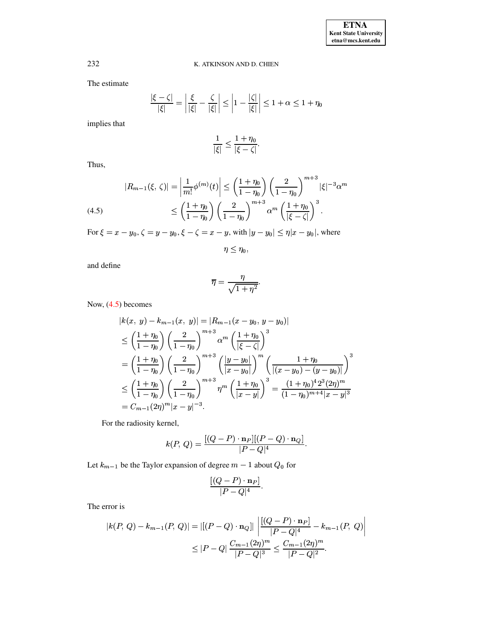The estimate

$$
\frac{|\xi - \zeta|}{|\xi|} = \left| \frac{\xi}{|\xi|} - \frac{\zeta}{|\xi|} \right| \le \left| 1 - \frac{|\zeta|}{|\xi|} \right| \le 1 + \alpha \le 1 + \eta_0
$$

implies that

$$
\frac{1}{|\xi|} \le \frac{1+\eta_0}{|\xi-\zeta|}.
$$

Thus,

$$
|R_{m-1}(\xi, \zeta)| = \left| \frac{1}{m!} \phi^{(m)}(t) \right| \le \left( \frac{1 + \eta_0}{1 - \eta_0} \right) \left( \frac{2}{1 - \eta_0} \right)^{m+3} |\xi|^{-3} \alpha^m
$$
  
(4.5)  

$$
\le \left( \frac{1 + \eta_0}{1 - \eta_0} \right) \left( \frac{2}{1 - \eta_0} \right)^{m+3} \alpha^m \left( \frac{1 + \eta_0}{|\xi - \zeta|} \right)^3.
$$

<span id="page-13-0"></span>For  $\xi = x - y_0$ ,  $\zeta = y - y_0$ ,  $\xi - \zeta = x - y$ , with  $|y - y_0| \le \eta |x - y_0|$ , where

 $\eta \leq \eta_0$ ,

and define

$$
\overline{\eta} = \frac{\eta}{\sqrt{1 + \eta^2}}.
$$

Now,  $(4.5)$  becomes

$$
|k(x, y) - k_{m-1}(x, y)| = |R_{m-1}(x - y_0, y - y_0)|
$$
  
\n
$$
\leq \left(\frac{1 + \eta_0}{1 - \eta_0}\right) \left(\frac{2}{1 - \eta_0}\right)^{m+3} \alpha^m \left(\frac{1 + \eta_0}{|\xi - \zeta|}\right)^3
$$
  
\n
$$
= \left(\frac{1 + \eta_0}{1 - \eta_0}\right) \left(\frac{2}{1 - \eta_0}\right)^{m+3} \left(\frac{|y - y_0|}{|x - y_0|}\right)^m \left(\frac{1 + \eta_0}{|(x - y_0) - (y - y_0)|}\right)^3
$$
  
\n
$$
\leq \left(\frac{1 + \eta_0}{1 - \eta_0}\right) \left(\frac{2}{1 - \eta_0}\right)^{m+3} \eta^m \left(\frac{1 + \eta_0}{|x - y|}\right)^3 = \frac{(1 + \eta_0)^4 2^3 (2\eta)^m}{(1 - \eta_0)^{m+4} |x - y|^3}
$$
  
\n
$$
= C_{m-1}(2\eta)^m |x - y|^{-3}.
$$

For the radiosity kernel,

$$
k(P, Q) = \frac{[(Q - P) \cdot \mathbf{n}_P][(P - Q) \cdot \mathbf{n}_Q]}{|P - Q|^4}.
$$

Let  $k_{m-1}$  be the Taylor expansion of degree  $m-1$  about  $Q_0$  for

$$
\frac{[(Q-P)\cdot {\bf n}_P]}{|P-Q|^4}.
$$

The error is

$$
|k(P, Q) - k_{m-1}(P, Q)| = |[(P - Q) \cdot \mathbf{n}_Q]| \left| \frac{[(Q - P) \cdot \mathbf{n}_P]}{|P - Q|^4} - k_{m-1}(P, Q) \right|
$$
  

$$
\leq |P - Q| \frac{C_{m-1}(2\eta)^m}{|P - Q|^3} \leq \frac{C_{m-1}(2\eta)^m}{|P - Q|^2}.
$$

232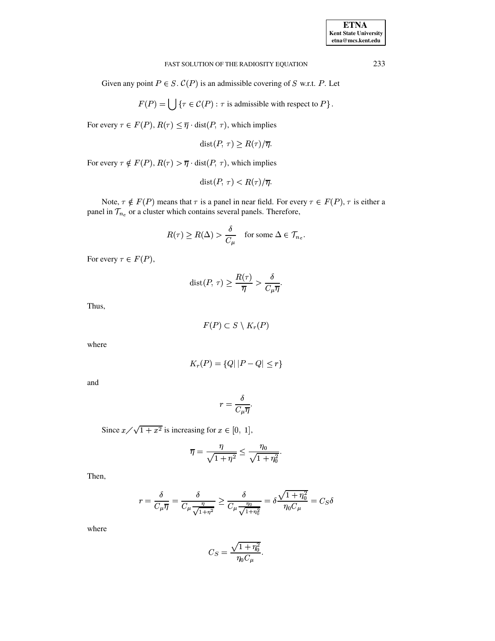Given any point  $P \in S$ .  $C(P)$  is an admissible covering of S w.r.t. P. Let

$$
F(P) = \bigcup \{ \tau \in C(P) : \tau \text{ is admissible with respect to } P \}.
$$

For every  $\tau \in F(P)$ ,  $R(\tau) \leq \overline{\eta} \cdot \text{dist}(P, \tau)$ , which implies

$$
dist(P, \tau) \ge R(\tau)/\overline{\eta}.
$$

For every  $\tau \notin F(P)$ ,  $R(\tau) > \overline{\eta} \cdot \text{dist}(P, \tau)$ , which implies

$$
dist(P, \tau) < R(\tau) / \overline{\eta}.
$$

Note,  $\tau \notin F(P)$  means that  $\tau$  is a panel in near field. For every  $\tau \in F(P)$ ,  $\tau$  is either a panel in  $\mathcal{T}_{n_c}$  or a cluster which contains several panels. Therefore,

$$
R(\tau) \ge R(\Delta) > \frac{\delta}{C_{\mu}} \quad \text{for some } \Delta \in \mathcal{T}_{n_c}.
$$

For every  $\tau \in F(P)$ ,

$$
\text{dist}(P, \tau) \ge \frac{R(\tau)}{\overline{\eta}} > \frac{\delta}{C_{\mu} \overline{\eta}}.
$$

Thus,

$$
F(P) \subset S \setminus K_r(P)
$$

where

$$
K_r(P) = \{Q \mid |P - Q| \le r\}
$$

and

$$
r = \frac{\delta}{C_{\mu}\overline{\eta}}.
$$

Since  $x/\sqrt{1+x^2}$  is increasing for  $x \in [0, 1]$ ,

$$
\overline{\eta} = \frac{\eta}{\sqrt{1+\eta^2}} \le \frac{\eta_0}{\sqrt{1+\eta_0^2}}.
$$

Then,

$$
r = \frac{\delta}{C_{\mu}\overline{\eta}} = \frac{\delta}{C_{\mu}\frac{\eta}{\sqrt{1+\eta^2}}} \ge \frac{\delta}{C_{\mu}\frac{\eta_0}{\sqrt{1+\eta_0^2}}} = \delta \frac{\sqrt{1+\eta_0^2}}{\eta_0 C_{\mu}} = C_S \delta
$$

where

$$
C_S = \frac{\sqrt{1 + \eta_0^2}}{\eta_0 C_\mu}.
$$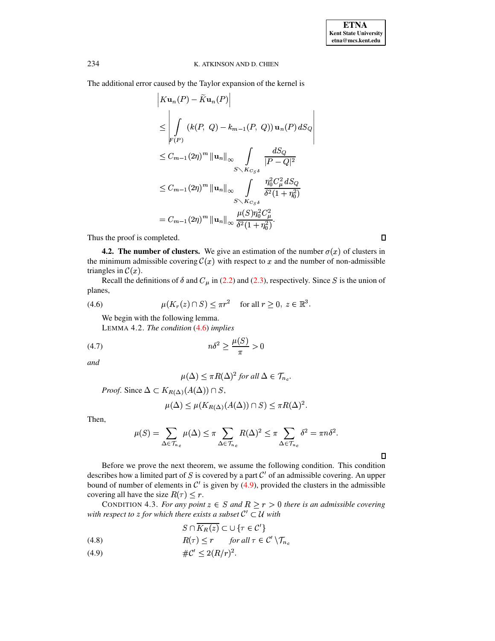The additional error caused by the Taylor expansion of the kernel is

$$
\begin{aligned}\n\left| K \mathbf{u}_n(P) - \tilde{K} \mathbf{u}_n(P) \right| \\
&\leq \left| \int_{F(P)} \left( k(P, Q) - k_{m-1}(P, Q) \right) \mathbf{u}_n(P) \, dS_Q \right| \\
&\leq C_{m-1}(2\eta)^m \left\| \mathbf{u}_n \right\|_{\infty} \int_{S \setminus K_{C_S \delta}} \frac{dS_Q}{|P - Q|^2} \\
&\leq C_{m-1}(2\eta)^m \left\| \mathbf{u}_n \right\|_{\infty} \int_{S \setminus K_{C_S \delta}} \frac{\eta_0^2 C_\mu^2 \, dS_Q}{\delta^2 (1 + \eta_0^2)} \\
&= C_{m-1}(2\eta)^m \left\| \mathbf{u}_n \right\|_{\infty} \frac{\mu(S) \eta_0^2 C_\mu^2}{\delta^2 (1 + \eta_0^2)}.\n\end{aligned}
$$

Thus the proof is completed.

**4.2. The number of clusters.** We give an estimation of the number  $\sigma(x)$  of clusters in the minimum admissible covering  $\mathcal{C}(x)$  with respect to x and the number of non-admissible triangles in  $\mathcal{C}(x)$ .

<span id="page-15-0"></span>Recall the definitions of  $\delta$  and  $C_{\mu}$  in (2.2) and (2.3), respectively. Since S is the union of planes,

$$
(4.6) \quad \mu(K_r(z) \cap S) \leq \pi r^2 \quad \text{for all } r \geq 0, \ z \in \mathbb{R}^3.
$$

We begin with the following lemma.

LEMMA 4.2. The condition  $(4.6)$  implies

and

<span id="page-15-4"></span>
$$
\mu(\Delta) \leq \pi R(\Delta)^2 \text{ for all } \Delta \in \mathcal{T}_{n_c}.
$$

*Proof.* Since  $\Delta \subset K_{R(\Delta)}(A(\Delta)) \cap S$ ,

$$
\mu(\Delta) \leq \mu(K_{R(\Delta)}(A(\Delta)) \cap S) \leq \pi R(\Delta)^2.
$$

Then,

$$
\mu(S) = \sum_{\Delta \in \mathcal{T}_{n_c}} \mu(\Delta) \leq \pi \sum_{\Delta \in \mathcal{T}_{n_c}} R(\Delta)^2 \leq \pi \sum_{\Delta \in \mathcal{T}_{n_c}} \delta^2 = \pi n \delta^2.
$$

Before we prove the next theorem, we assume the following condition. This condition describes how a limited part of S is covered by a part  $C'$  of an admissible covering. An upper bound of number of elements in  $\mathcal{C}'$  is given by (4.9), provided the clusters in the admissible covering all have the size  $R(\tau) < r$ .

<span id="page-15-2"></span>CONDITION 4.3. For any point  $z \in S$  and  $R \ge r > 0$  there is an admissible covering with respect to z for which there exists a subset  $C' \subset U$  with

$$
S \cap K_R(z) \subset \cup \{ \tau \in \mathcal{C}' \}
$$

- <span id="page-15-3"></span> $R(\tau) \leq r$  for all  $\tau \in \mathcal{C}' \setminus \mathcal{T}_{n_c}$  $(4.8)$
- <span id="page-15-1"></span> $\#\mathcal{C}' < 2(R/r)^2$ .  $(4.9)$

 $\Box$ 

 $\Box$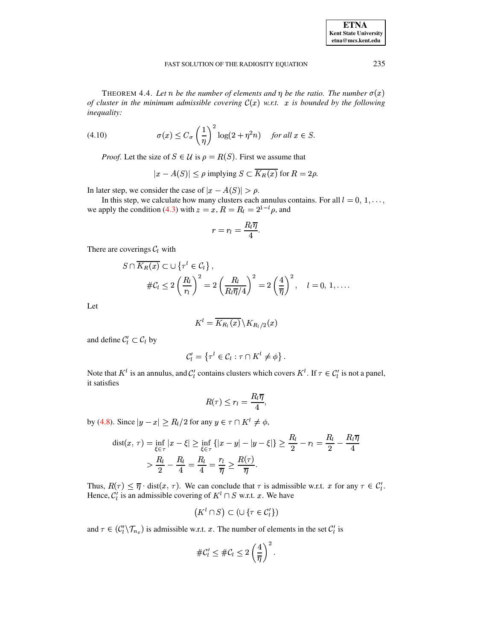<span id="page-16-1"></span><span id="page-16-0"></span>THEOREM 4.4. Let n be the number of elements and  $\eta$  be the ratio. The number  $\sigma(x)$ of cluster in the minimum admissible covering  $C(x)$  w.r.t. x is bounded by the following inequality:

(4.10) 
$$
\sigma(x) \leq C_{\sigma} \left(\frac{1}{\eta}\right)^2 \log(2 + \eta^2 n) \quad \text{for all } x \in S.
$$

*Proof.* Let the size of  $S \in \mathcal{U}$  is  $\rho = R(S)$ . First we assume that

$$
|x - A(S)| \le \rho \text{ implying } S \subset \overline{K_R(x)} \text{ for } R = 2\rho.
$$

In later step, we consider the case of  $|x - A(S)| > \rho$ .

In this step, we calculate how many clusters each annulus contains. For all  $l = 0, 1, \ldots$ , we apply the condition (4.3) with  $z = x$ ,  $R = R_l = 2^{1-l} \rho$ , and

$$
r=r_l=\frac{R_l\overline{\eta}}{4}.
$$

There are coverings  $C_l$  with

$$
S \cap \overline{K_R(x)} \subset \cup \{ \tau^l \in C_l \},
$$
  

$$
\#C_l \le 2 \left( \frac{R_l}{r_l} \right)^2 = 2 \left( \frac{R_l}{R_l \overline{\eta}/4} \right)^2 = 2 \left( \frac{4}{\overline{\eta}} \right)^2, \quad l = 0, 1, ...
$$

Let

$$
K^l = \overline{K_{R_l}(x)} \, \backslash K_{R_l/2}(x)
$$

and define  $C_l' \subset C_l$  by

$$
\mathcal{C}'_l = \left\{ \tau^l \in \mathcal{C}_l : \tau \cap K^l \neq \phi \right\}.
$$

Note that  $K^l$  is an annulus, and  $C_l$  contains clusters which covers  $K^l$ . If  $\tau \in C_l^l$  is not a panel, it satisfies

$$
R(\tau) \leq r_l = \frac{R_l \overline{\eta}}{4},
$$

by (4.8). Since  $|y - x| \ge R_l/2$  for any  $y \in \tau \cap K^l \ne \phi$ ,

$$
\text{dist}(x, \tau) = \inf_{\xi \in \tau} |x - \xi| \ge \inf_{\xi \in \tau} \{|x - y| - |y - \xi|\} \ge \frac{R_l}{2} - r_l = \frac{R_l}{2} - \frac{R_l \overline{\eta}}{4}
$$

$$
> \frac{R_l}{2} - \frac{R_l}{4} = \frac{R_l}{4} = \frac{r_l}{\overline{\eta}} \ge \frac{R(\tau)}{\overline{\eta}}.
$$

Thus,  $R(\tau) \leq \overline{\eta} \cdot \text{dist}(x, \tau)$ . We can conclude that  $\tau$  is admissible w.r.t.  $x$  for any  $\tau \in C'_l$ .<br>Hence,  $C'_l$  is an admissible covering of  $K^l \cap S$  w.r.t.  $x$ . We have

$$
(K^l \cap S) \subset (\cup \{\tau \in \mathcal{C}'_l\})
$$

and  $\tau \in (\mathcal{C}'_l \setminus \mathcal{T}_{n_c})$  is admissible w.r.t. x. The number of elements in the set  $\mathcal{C}'_l$  is

$$
\#\mathcal{C}'_l \leq \#\mathcal{C}_l \leq 2\left(\frac{4}{\overline{\eta}}\right)^2.
$$

**ETNA Kent State University**  $etna@mcs. kent.edu$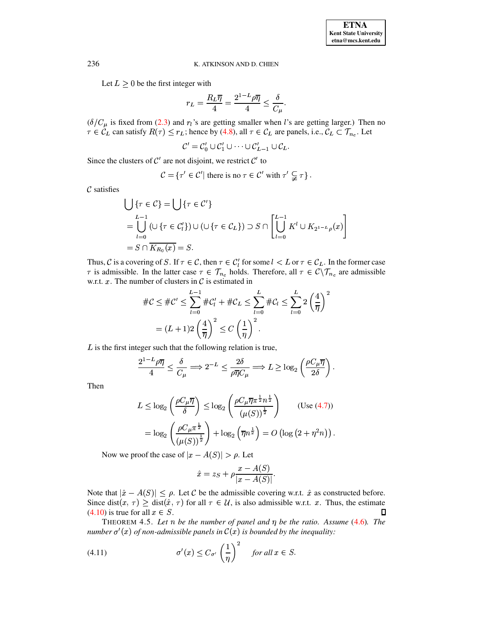Let  $L \geq 0$  be the first integer with

$$
r_L = \frac{R_L \overline{\eta}}{4} = \frac{2^{1-L} \rho \overline{\eta}}{4} \le \frac{\delta}{C_\mu}.
$$

 $(\delta/C_{\mu}$  is fixed from (2.3) and  $r_l$ 's are getting smaller when *l*'s are getting larger.) Then no  $\tau \in C_L$  can satisfy  $R(\tau) \le r_L$ ; hence by (4.8), all  $\tau \in C_L$  are panels, i.e.,  $C_L \subset \mathcal{T}_{n_c}$ . Let

$$
\mathcal{C}' = \mathcal{C}'_0 \cup \mathcal{C}'_1 \cup \cdots \cup \mathcal{C}'_{L-1} \cup \mathcal{C}_L.
$$

Since the clusters of  $\mathcal{C}'$  are not disjoint, we restrict  $\mathcal{C}'$  to

$$
\mathcal{C} = \{ \tau' \in \mathcal{C}' \mid \text{there is no } \tau \in \mathcal{C}' \text{ with } \tau' \subsetneqq \tau \}.
$$

 $\mathcal C$  satisfies

$$
\bigcup \{\tau \in \mathcal{C}\} = \bigcup \{\tau \in \mathcal{C}'\}
$$
  
= 
$$
\bigcup_{l=0}^{L-1} (\cup \{\tau \in \mathcal{C}'_l\}) \cup (\cup \{\tau \in \mathcal{C}_L\}) \supset S \cap \left[\bigcup_{l=0}^{L-1} K^l \cup K_{2^{1-L}\rho}(x)\right]
$$
  
= 
$$
S \cap \overline{K_{R_0}(x)} = S.
$$

Thus, C is a covering of S. If  $\tau \in C$ , then  $\tau \in C'_l$  for some  $l < L$  or  $\tau \in C_L$ . In the former case  $\tau$  is admissible. In the latter case  $\tau \in \mathcal{T}_{n_c}$  holds. Therefore, all  $\tau \in \mathcal{C}\setminus\mathcal{T}_{n_c}$  are admissible w.r.t.  $x$ . The number of clusters in  $\mathcal C$  is estimated in

$$
#C \le #C' \le \sum_{l=0}^{L-1} #C'_l + #C_L \le \sum_{l=0}^{L} #C_l \le \sum_{l=0}^{L} 2\left(\frac{4}{\overline{\eta}}\right)^2
$$
  
=  $(L+1)2\left(\frac{4}{\overline{\eta}}\right)^2 \le C\left(\frac{1}{\eta}\right)^2$ .

 $L$  is the first integer such that the following relation is true,

$$
\frac{2^{1-L}\rho\overline{\eta}}{4} \le \frac{\delta}{C_{\mu}} \Longrightarrow 2^{-L} \le \frac{2\delta}{\rho\overline{\eta}C_{\mu}} \Longrightarrow L \ge \log_2\left(\frac{\rho C_{\mu}\overline{\eta}}{2\delta}\right).
$$

Then

$$
L \leq \log_2\left(\frac{\rho C_\mu \overline{\eta}}{\delta}\right) \leq \log_2\left(\frac{\rho C_\mu \overline{\eta} \pi^{\frac{1}{2}} n^{\frac{1}{2}}}{(\mu(S))^{\frac{1}{2}}}\right) \qquad \text{(Use (4.7))}
$$

$$
= \log_2\left(\frac{\rho C_\mu \pi^{\frac{1}{2}}}{(\mu(S))^{\frac{1}{2}}}\right) + \log_2\left(\overline{\eta} n^{\frac{1}{2}}\right) = O\left(\log\left(2 + \eta^2 n\right)\right).
$$

Now we proof the case of  $|x - A(S)| > \rho$ . Let

<span id="page-17-1"></span>
$$
\hat{x} = z_S + \rho \frac{x - A(S)}{|x - A(S)|}.
$$

Note that  $|\hat{x} - A(S)| \le \rho$ . Let C be the admissible covering w.r.t.  $\hat{x}$  as constructed before. Since dist(x,  $\tau$ )  $\geq$  dist( $\hat{x}$ ,  $\tau$ ) for all  $\tau \in \mathcal{U}$ , is also admissible w.r.t. x. Thus, the estimate  $(4.10)$  is true for all  $x \in S$ .  $\Box$ 

<span id="page-17-0"></span>THEOREM 4.5. Let n be the number of panel and  $\eta$  be the ratio. Assume (4.6). The number  $\sigma'(x)$  of non-admissible panels in  $\mathcal{C}(x)$  is bounded by the inequality:

(4.11) 
$$
\sigma'(x) \leq C_{\sigma'} \left(\frac{1}{\eta}\right)^2 \quad \text{for all } x \in S.
$$

236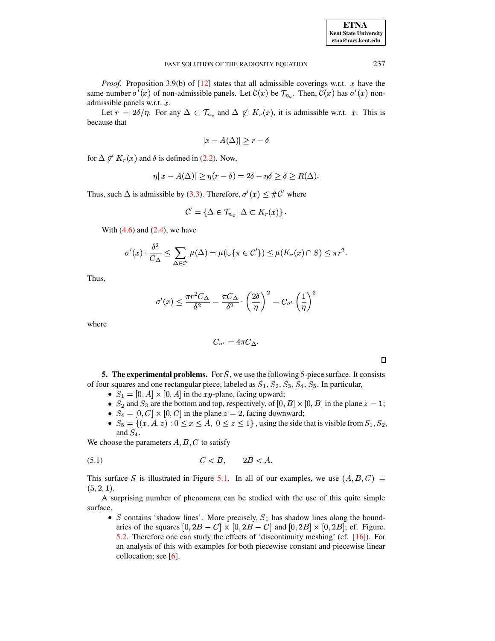| <b>ETNA</b>                  |
|------------------------------|
| <b>Kent State University</b> |
| etna@mcs.kent.edu            |

*Proof.* Proposition 3.9(b) of  $[12]$  states that all admissible coverings w.r.t. x have the same number  $\sigma'(x)$  of non-admissible panels. Let  $\mathcal{C}(x)$  be  $\mathcal{T}_{n_c}$ . Then,  $\mathcal{C}(x)$  has  $\sigma'(x)$  nonadmissible panels w.r.t. x.

Let  $r = 2\delta/\eta$ . For any  $\Delta \in \mathcal{T}_{n_c}$  and  $\Delta \nsubseteq K_r(x)$ , it is admissible w.r.t. x. This is because that

$$
|x - A(\Delta)| \ge r - \delta
$$

for  $\Delta \not\subset K_r(x)$  and  $\delta$  is defined in (2.2). Now,

$$
\eta |x - A(\Delta)| \ge \eta (r - \delta) = 2\delta - \eta \delta \ge \delta \ge R(\Delta).
$$

Thus, such  $\Delta$  is admissible by (3.3). Therefore,  $\sigma'(x) \leq #C'$  where

$$
\mathcal{C}'=\{\Delta\in\mathcal{T}_{n_c}\,|\,\Delta\subset K_r(x)\}\,.
$$

With  $(4.6)$  and  $(2.4)$ , we have

$$
\sigma'(x) \cdot \frac{\delta^2}{C_{\Delta}} \le \sum_{\Delta \in \mathcal{C}'} \mu(\Delta) = \mu(\cup \{\pi \in \mathcal{C}'\}) \le \mu(K_r(x) \cap S) \le \pi r^2.
$$

Thus,

$$
\sigma'(x) \le \frac{\pi r^2 C_{\Delta}}{\delta^2} = \frac{\pi C_{\Delta}}{\delta^2} \cdot \left(\frac{2\delta}{\eta}\right)^2 = C_{\sigma'} \left(\frac{1}{\eta}\right)^2
$$

where

$$
C_{\sigma'}=4\pi C_{\Delta}
$$

 $\Box$ 

**5. The experimental problems.** For  $S$ , we use the following 5-piece surface. It consists of four squares and one rectangular piece, labeled as  $S_1$ ,  $S_2$ ,  $S_3$ ,  $S_4$ ,  $S_5$ . In particular,

- $S_1 = [0, A] \times [0, A]$  in the xy-plane, facing upward;
- $S_2$  and  $S_3$  are the bottom and top, respectively, of  $[0, B] \times [0, B]$  in the plane  $z = 1$ ;
- $S_4 = [0, C] \times [0, C]$  in the plane  $z = 2$ , facing downward;
- $S_5 = \{(x, A, z): 0 \le x \le A, 0 \le z \le 1\}$ , using the side that is visible from  $S_1, S_2$ , and  $S_4$ .

We choose the parameters  $A, B, C$  to satisfy

$$
(5.1) \tC < B, \t2B < A.
$$

This surface S is illustrated in Figure 5.1. In all of our examples, we use  $(A, B, C)$  =  $(5, 2, 1).$ 

A surprising number of phenomena can be studied with the use of this quite simple surface.

• S contains 'shadow lines'. More precisely,  $S_1$  has shadow lines along the boundaries of the squares  $[0, 2B - C] \times [0, 2B - C]$  and  $[0, 2B] \times [0, 2B]$ ; cf. Figure. 5.2. Therefore one can study the effects of 'discontinuity meshing' (cf. [16]). For an analysis of this with examples for both piecewise constant and piecewise linear collocation; see  $[6]$ .

237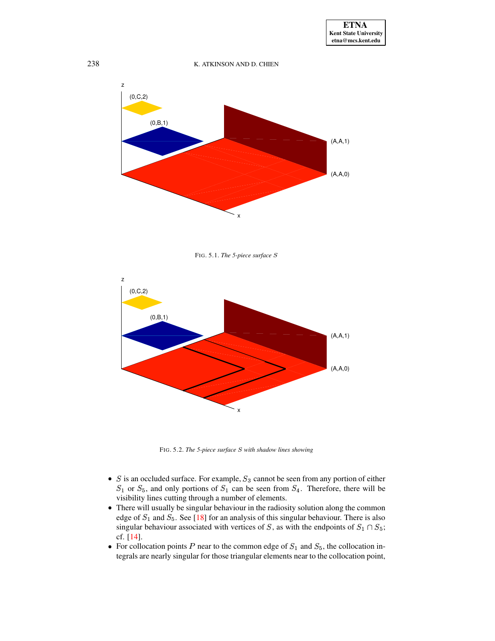

<span id="page-19-0"></span>FIG. 5.1. *The 5-piece surface*



FIG. 5.2. *The 5-piece surface with shadow lines showing*

- <span id="page-19-1"></span>• S is an occluded surface. For example,  $S_3$  cannot be seen from any portion of either  $S_1$  or  $S_5$ , and only portions of  $S_1$  can be seen from  $S_4$ . Therefore, there will be ^ visibility lines cutting through a number of elements.
- There will usually be singular behaviour in the radiosity solution along the common edge of  $S_1$  and  $S_5$ . See [\[18\]](#page-31-3) for an analysis of this singular behaviour. There is also singular behaviour associated with vertices of S, as with the endpoints of  $S_1 \cap S_5$ ; cf. [\[14\]](#page-31-1).
- For collocation points P near to the common edge of  $S_1$  and  $S_5$ , the collocation in-^ tegrals are nearly singular for those triangular elements near to the collocation point,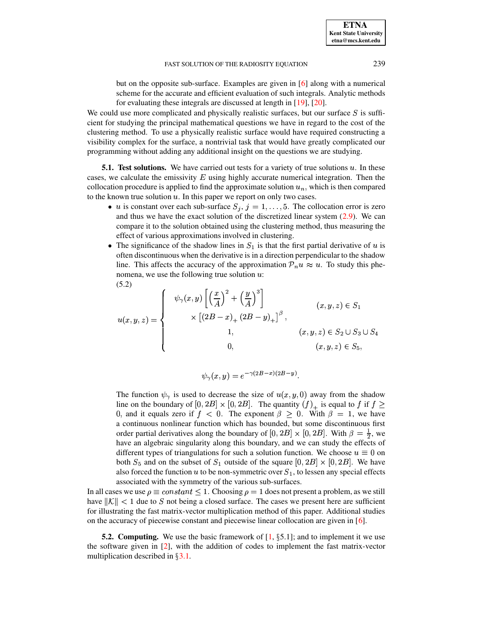but on the opposite sub-surface. Examples are given in [\[6\]](#page-30-2) along with a numerical scheme for the accurate and efficient evaluation of such integrals. Analytic methods for evaluating these integrals are discussed at length in [\[19\]](#page-31-4), [\[20\]](#page-31-9).

We could use more complicated and physically realistic surfaces, but our surface  $S$  is sufficient for studying the principal mathematical questions we have in regard to the cost of the clustering method. To use a physically realistic surface would have required constructing a visibility complex for the surface, a nontrivial task that would have greatly complicated our programming without adding any additional insight on the questions we are studying.

**5.1.** Test solutions. We have carried out tests for a variety of true solutions  $u$ . In these cases, we calculate the emissivity  $E$  using highly accurate numerical integration. Then the collocation procedure is applied to find the approximate solution  $u_n$ , which is then compared to the known true solution  $u$ . In this paper we report on only two cases.

- u is constant over each sub-surface  $S_j$ ,  $j = 1, \ldots, 5$ . The collocation error is zero and thus we have the exact solution of the discretized linear system  $(2.9)$ . We can compare it to the solution obtained using the clustering method, thus measuring the effect of various approximations involved in clustering.
- The significance of the shadow lines in  $S_1$  is that the first partial derivative of u is often discontinuous when the derivative is in a direction perpendicular to the shadow line. This affects the accuracy of the approximation  $P_n u \approx u$ . To study this phenomena, we use the following true solution  $u$ : (5.2)

<span id="page-20-0"></span>
$$
u(x, y, z) = \begin{cases} \psi_{\gamma}(x, y) \left[ \left( \frac{x}{A} \right)^2 + \left( \frac{y}{A} \right)^3 \right] & (x, y, z) \in S_1 \\ \times \left[ (2B - x)_+ (2B - y)_+ \right]^{\beta}, & (x, y, z) \in S_2 \cup S_3 \cup S_4 \\ 1, & (x, y, z) \in S_2 \cup S_3 \cup S_4 \\ 0, & (x, y, z) \in S_5, \end{cases}
$$

$$
\psi_{\gamma}(x, y) = e^{-\gamma(2B - x)(2B - y)}.
$$

The function  $\psi_{\gamma}$  is used to decrease the size of  $u(x, y, 0)$  away from the shadow line on the boundary of  $[0, 2B] \times [0, 2B]$ . The quantity  $(f)_{+}$  is equal to f if  $f \ge$ 0, and it equals zero if  $f < 0$ . The exponent  $\beta \ge 0$ . With  $\beta = 1$ , we have a continuous nonlinear function which has bounded, but some discontinuous first order partial derivatives along the boundary of  $[0, 2B] \times [0, 2B]$ . With  $\beta = \frac{1}{2}$ , we have an algebraic singularity along this boundary, and we can study the effects of different types of triangulations for such a solution function. We choose  $u \equiv 0$  on both  $S_5$  and on the subset of  $S_1$  outside of the square  $[0, 2B] \times [0, 2B]$ . We have also forced the function u to be non-symmetric over  $S_1$ , to lessen any special effects associated with the symmetry of the various sub-surfaces.

In all cases we use  $\rho \equiv constant \leq 1$ . Choosing  $\rho = 1$  does not present a problem, as we still have  $||\mathcal{K}|| < 1$  due to S not being a closed surface. The cases we present here are sufficient for illustrating the fast matrix-vector multiplication method of this paper. Additional studies on the accuracy of piecewise constant and piecewise linear collocation are given in [\[6\]](#page-30-2).

**5.2. Computing.** We use the basic framework of  $[1, \S 5.1]$  $[1, \S 5.1]$ ; and to implement it we use the software given in [\[2\]](#page-30-6), with the addition of codes to implement the fast matrix-vector multiplication described in  $\S 3.1$ .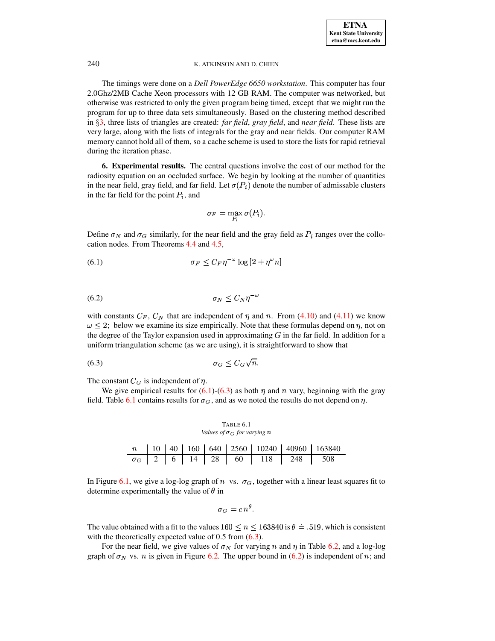The timings were done on a *Dell PowerEdge 6650 workstation*. This computer has four 2.0Ghz/2MB Cache Xeon processors with 12 GB RAM. The computer was networked, but otherwise was restricted to only the given program being timed, except that we might run the program for up to three data sets simultaneously. Based on the clustering method described in §[3,](#page-6-0) three lists of triangles are created: *far field*, *gray field*, and *near field*. These lists are very large, along with the lists of integrals for the gray and near fields. Our computer RAM memory cannot hold all of them, so a cache scheme is used to store the lists for rapid retrieval during the iteration phase.

<span id="page-21-0"></span>**6. Experimental results.** The central questions involve the cost of our method for the radiosity equation on an occluded surface. We begin by looking at the number of quantities in the near field, gray field, and far field. Let  $\sigma(P_i)$  denote the number of admissable clusters nd far field. Let  $\sigma(P_i)$  denote the number of admissable clusters in the far field for the point  $P_i$ , and

<span id="page-21-2"></span><span id="page-21-1"></span>
$$
\sigma_F = \max_{P_i} \sigma(P_i).
$$

Define  $\sigma_N$  and  $\sigma_G$  similarly, for the near field and the gray field as  $P_i$  ranges over the collocation nodes. From Theorems [4.4](#page-16-1) and [4.5,](#page-17-0)

<span id="page-21-4"></span>
$$
\sigma_F \le C_F \eta^{-\omega} \log \left[2 + \eta^{\omega} n\right]
$$

$$
\sigma_N \le C_N \eta^{-\omega}
$$

with constants  $C_F$ ,  $C_N$  that are independent of  $\eta$  and  $n$ . From [\(4.10\)](#page-16-0) and [\(4.11\)](#page-17-1) we know  $\omega \leq 2$ ; below we examine its size empirically. Note that these formulas depend on  $\eta$ , not on the degree of the Taylor expansion used in approximating  $G$  in the far field. In addition for a uniform triangulation scheme (as we are using), it is straightforward to show that

$$
\sigma_G \le C_G \sqrt{n}.
$$

The constant  $C_G$  is independent of  $\eta$ .

We give empirical results for  $(6.1)-(6.3)$  $(6.1)-(6.3)$  $(6.1)-(6.3)$  as both  $\eta$  and  $n$  vary, beginning with the gray field. Table [6.1](#page-21-3) contains results for  $\sigma_G$ , and as we noted the results do not depend on  $\eta$ .

<span id="page-21-3"></span>TABLE 6.1 *Values of*  $\sigma$ *G for varying*  $n$  $\begin{array}{|c|c|c|c|c|c|c|c|c|c|} \hline n&10&40&160&640&2560&10240&40960&163840 \ \hline \sigma_G&2&6&14&28&60&118&248&508 \ \hline \end{array}$ 

In Figure [6.1,](#page-22-0) we give a log-log graph of n vs.  $\sigma_G$ , together with a linear least squares fit to determine experimentally the value of  $\theta$  in

$$
\sigma_G = c n^{\theta}.
$$

The value obtained with a fit to the values  $160 \le n \le 163840$  is  $\theta = .519$ , which is consistent with the theoretically expected value of  $0.5$  from  $(6.3)$ .

For the near field, we give values of  $\sigma_N$  for varying n and  $\eta$  in Table [6.2,](#page-22-1) and a log-log graph of  $\sigma_N$  vs. *n* is given in Figure [6.2.](#page-23-0) The upper bound in [\(6.2\)](#page-21-4) is independent of *n*; and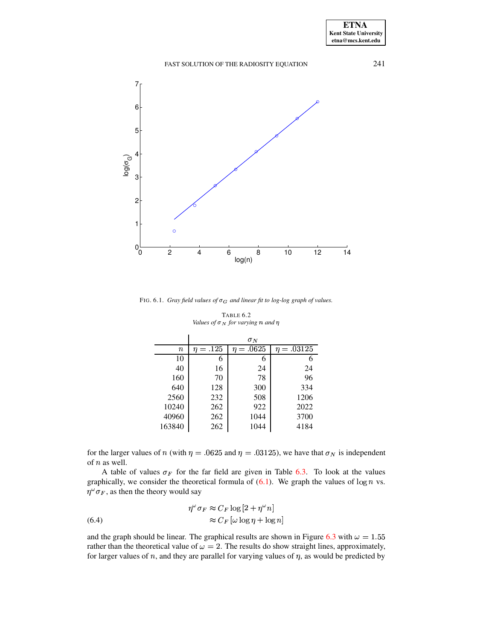# 1 2 3 4 5 6 7  $\log(\sigma_{\rm G})$

<span id="page-22-0"></span>FIG. 6.1. *Gray field values of*  $\sigma$ *G and linear fit to log-log graph of values.* 

0 2 4 6 8 10 12 14

log(n)

<span id="page-22-1"></span>

|         | $\sigma_N$    |                |                 |  |  |  |
|---------|---------------|----------------|-----------------|--|--|--|
| $\it n$ | $\eta = .125$ | $\eta = .0625$ | $\eta = .03125$ |  |  |  |
| 10      | 6             | 6              | 6               |  |  |  |
| 40      | 16            | 24             | 24              |  |  |  |
| 160     | 70            | 78             | 96              |  |  |  |
| 640     | 128           | 300            | 334             |  |  |  |
| 2560    | 232           | 508            | 1206            |  |  |  |
| 10240   | 262           | 922            | 2022            |  |  |  |
| 40960   | 262           | 1044           | 3700            |  |  |  |
| 163840  | 262           | 1044           | 4184            |  |  |  |

TABLE 6.2 *Values of*  $\sigma_N$  *for varying*  $n$  *and*  $n$ 

for the larger values of n (with  $\eta = .0625$  and  $\eta = .03125$ ), we have that  $\sigma_N$  is independent of  $n$  as well.

A table of values  $\sigma_F$  for the far field are given in Table [6.3.](#page-23-1) To look at the values graphically, we consider the theoretical formula of  $(6.1)$ . We graph the values of  $\log n$  vs.  $\eta^\omega \sigma_F,$  as then the theory would say

<span id="page-22-2"></span>(6.4) 
$$
\eta^{\omega} \sigma_F \approx C_F \log \left[ 2 + \eta^{\omega} n \right]
$$

$$
\approx C_F \left[ \omega \log \eta + \log n \right]
$$

 $0_0$ 

and the graph should be linear. The graphical results are shown in Figure [6.3](#page-24-0) with  $\omega = 1.55$ rather than the theoretical value of  $\omega = 2$ . The results do show straight lines, approximately, for larger values of  $n$ , and they are parallel for varying values of  $\eta$ , as would be predicted by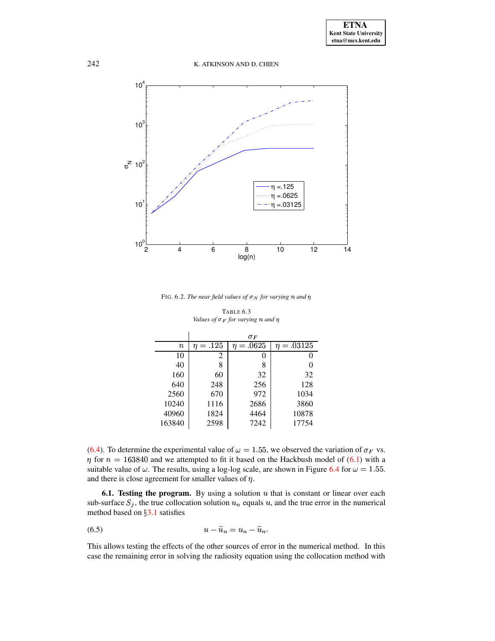

<span id="page-23-0"></span>FIG. 6.2. *The near field values of*  $\sigma_N$  *for varying*  $n$  *and*  $n$ 

<span id="page-23-1"></span>

|         |               | $\sigma_F$    |                |
|---------|---------------|---------------|----------------|
| $\it n$ | $\eta = .125$ | $=.0625$<br>n | $=.03125$<br>η |
| 10      | 2             | O             |                |
| 40      | 8             | 8             | 0              |
| 160     | 60            | 32            | 32             |
| 640     | 248           | 256           | 128            |
| 2560    | 670           | 972           | 1034           |
| 10240   | 1116          | 2686          | 3860           |
| 40960   | 1824          | 4464          | 10878          |
| 163840  | 2598          | 7242          | 17754          |

TABLE 6.3 *Values of*  $\sigma$ <sub>F</sub> *for varying*  $n$  *and*  $n$ 

[\(6.4\)](#page-22-2). To determine the experimental value of  $\omega = 1.55$ , we observed the variation of  $\sigma_F$  vs.  $\eta$  for  $n = 163840$  and we attempted to fit it based on the Hackbush model of [\(6.1\)](#page-21-1) with a suitable value of  $\omega$ . The results, using a log-log scale, are shown in Figure [6.4](#page-25-0) for  $\omega = 1.55$ . and there is close agreement for smaller values of  $\eta$ .

<span id="page-23-3"></span>**6.1. Testing the program.** By using a solution  $u$  that is constant or linear over each sub-surface  $S_j$ , the true collocation solution  $u_n$  equals  $u$ , and the true error in the numerical method based on  $\S 3.1$  $\S 3.1$  satisfies

<span id="page-23-2"></span>
$$
(6.5) \t\t\t u - \widetilde{u}_n = u_n - \widetilde{u}_n.
$$

This allows testing the effects of the other sources of error in the numerical method. In this case the remaining error in solving the radiosity equation using the collocation method with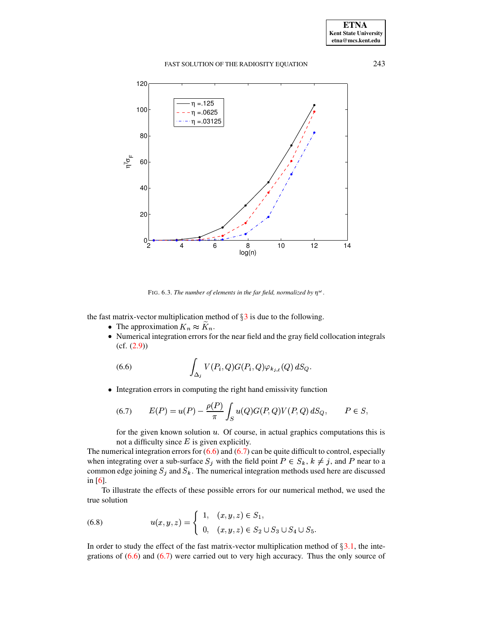

<span id="page-24-2"></span>FIG. 6.3. The number of elements in the far field, normalized by  $\eta^{\omega}$ .

the fast matrix-vector multiplication method of  $\S 3$  is due to the following.

- <span id="page-24-0"></span>• The approximation  $K_n \approx K_n$ .
- <span id="page-24-1"></span>• Numerical integration errors for the near field and the gray field collocation integrals  $(cf. (2.9))$

(6.6) 
$$
\int_{\Delta_j} V(P_i, Q) G(P_i, Q) \varphi_{k_{j,\ell}}(Q) dS_Q.
$$

• Integration errors in computing the right hand emissivity function

(6.7) 
$$
E(P) = u(P) - \frac{\rho(P)}{\pi} \int_{S} u(Q) G(P,Q) V(P,Q) dS_{Q}, \qquad P \in S,
$$

for the given known solution  $u$ . Of course, in actual graphics computations this is not a difficulty since  $E$  is given explicitly.

The numerical integration errors for  $(6.6)$  and  $(6.7)$  can be quite difficult to control, especially when integrating over a sub-surface  $S_j$  with the field point  $P \in S_k$ ,  $k \neq j$ , and P near to a common edge joining  $S_j$  and  $S_k$ . The numerical integration methods used here are discussed in  $[6]$ .

<span id="page-24-3"></span>To illustrate the effects of these possible errors for our numerical method, we used the true solution

(6.8) 
$$
u(x, y, z) = \begin{cases} 1, & (x, y, z) \in S_1, \\ 0, & (x, y, z) \in S_2 \cup S_3 \cup S_4 \cup S_5 \end{cases}
$$

In order to study the effect of the fast matrix-vector multiplication method of  $\S 3.1$ , the integrations of  $(6.6)$  and  $(6.7)$  were carried out to very high accuracy. Thus the only source of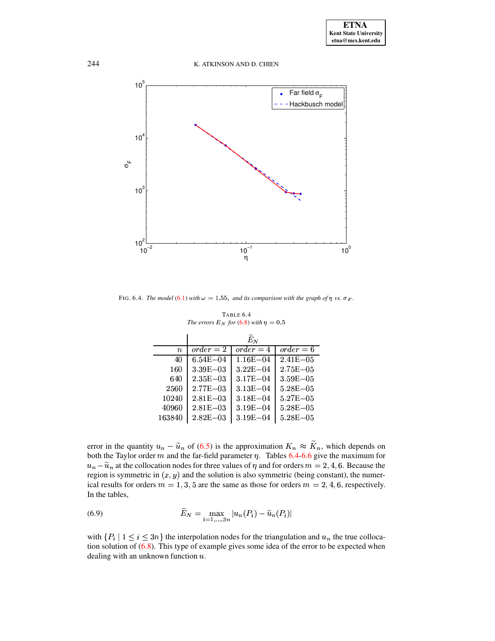

<span id="page-25-0"></span>FIG. 6.4. The model (6.1) with  $\omega = 1.55$ , and its comparison with the graph of  $\eta$  vs.  $\sigma_F$ .

<span id="page-25-1"></span>

|                  |               | $\widetilde{E}_N$ |               |
|------------------|---------------|-------------------|---------------|
| $\boldsymbol{n}$ | $order = 2$   | $order = 4$       | $order = 6$   |
| 40               | $6.54E - 04$  | $1.16E - 04$      | $2.41E - 0.5$ |
| 160              | $3.39E - 03$  | $3.22E - 04$      | $2.75E - 05$  |
| 640              | $2.35E - 03$  | $3.17E - 04$      | $3.59E - 05$  |
| 2560             | $2.77E - 0.3$ | $3.13E - 04$      | $5.28E - 0.5$ |
| 10240            | $2.81E - 0.3$ | $3.18E - 04$      | $5.27E - 0.5$ |
| 40960            | $2.81E - 03$  | $3.19E - 04$      | $5.28E - 05$  |
| 163840           | $2.82E - 03$  | $3.19E - 04$      | $5.28E - 05$  |

TABLE 6.4 The errors  $E_N$  for (6.8) with  $\eta = 0.5$ 

error in the quantity  $u_n - \tilde{u}_n$  of (6.5) is the approximation  $K_n \approx \tilde{K}_n$ , which depends on both the Taylor order  $m$  and the far-field parameter  $\eta$ . Tables 6.4-6.6 give the maximum for  $u_n - \tilde{u}_n$  at the collocation nodes for three values of  $\eta$  and for orders  $m = 2, 4, 6$ . Because the region is symmetric in  $(x, y)$  and the solution is also symmetric (being constant), the numerical results for orders  $m = 1, 3, 5$  are the same as those for orders  $m = 2, 4, 6$ , respectively. In the tables,

<span id="page-25-2"></span>(6.9) 
$$
\widetilde{E}_N = \max_{i=1,\ldots,3n} |u_n(P_i) - \widetilde{u}_n(P_i)|
$$

with  $\{P_i \mid 1 \leq i \leq 3n\}$  the interpolation nodes for the triangulation and  $u_n$  the true collocation solution of  $(6.8)$ . This type of example gives some idea of the error to be expected when dealing with an unknown function  $u$ .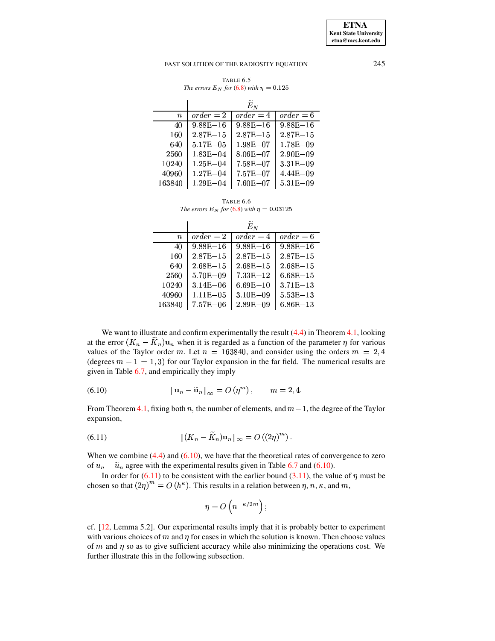**ETNA Kent State University etna@mcs.kent.edu**

#### FAST SOLUTION OF THE RADIOSITY EQUATION 245

TABLE 6.5 *The errors*  $E_N$  *for* [\(6.8\)](#page-24-3) *with*  $\eta = 0.125$ 

 $\mathcal{L}_{\mathcal{A}}$ 

|         |               | $E_N$        |               |
|---------|---------------|--------------|---------------|
| $\it n$ | $order = 2$   | $order = 4$  | $order = 6$   |
| 40      | $9.88E - 16$  | $9.88E - 16$ | $9.88E - 16$  |
| 160     | $2.87E - 15$  | $2.87E - 15$ | $2.87E - 15$  |
| 640     | $5.17E - 0.5$ | $1.98E - 07$ | $1.78E - 0.9$ |
| 2560    | $1.83E - 04$  | $8.06E - 07$ | $2.90E - 0.9$ |
| 10240   | $1.25E - 04$  | $7.58E - 07$ | $3.31E - 0.9$ |
| 40960   | $1.27E - 04$  | $7.57E - 07$ | $4.44E - 0.9$ |
| 163840  | $1.29E - 04$  | $7.60E - 07$ | $5.31E - 0.9$ |

TABLE 6.6 *The errors*  $E_N$  *for* [\(6.8\)](#page-24-3) *with*  $\eta = 0.03125$ 

<span id="page-26-0"></span>

|         |               | $\widetilde{E}_N$ |              |
|---------|---------------|-------------------|--------------|
| $\it n$ | $order = 2$   | $order = 4$       | $order = 6$  |
| 40      | $9.88E - 16$  | $9.88E - 16$      | $9.88E - 16$ |
| 160     | $2.87E - 15$  | $2.87E - 15$      | $2.87E - 15$ |
| 640     | $2.68E - 15$  | $2.68E - 15$      | $2.68E - 15$ |
| 2560    | $5.70E - 0.9$ | $7.33E - 12$      | $6.68E - 15$ |
| 10240   | $3.14E - 06$  | $6.69E - 10$      | $3.71E - 13$ |
| 40960   | $1.11E - 05$  | $3.10E - 09$      | $5.53E - 13$ |
| 163840  | $7.57E - 06$  | $2.89E - 09$      | $6.86E - 13$ |

We want to illust tate and confirm experimentally the result  $(4.4)$  in Theorem [4.1,](#page-11-1) looking at the error  $(K_n - \tilde{K}_n)$ **u**<sub>n</sub> when it is regarded as a function of the parameter  $\eta$  for various values of the Taylor order m. Let  $n = 163840$ , and consider using the orders  $m = 2, 4$ (degrees  $m - 1 = 1, 3$ ) for our Taylor expansion in the far field. The numerical results are given in Table [6.7,](#page-27-0) and empirically they imply

<span id="page-26-1"></span>(6.10) 
$$
\|\mathbf{u}_n - \widetilde{\mathbf{u}}_n\|_{\infty} = O\left(\eta^m\right), \qquad m = 2, 4.
$$

<span id="page-26-2"></span>From Theorem [4.1,](#page-11-1) fixing both n, the number of elements, and  $m-1$ , the degree of the Taylor expansion,

(6.11) 
$$
\| (K_n - \tilde{K}_n) \mathbf{u}_n \|_{\infty} = O((2\eta)^m).
$$

When we combine  $(4.4)$  and  $(6.10)$ , we have that the theoretical rates of convergence to zero of  $u_n - \tilde{u}_n$  agree with the experimental results given in Table [6.7](#page-27-0) and [\(6.10\)](#page-26-1).

In order for  $(6.11)$  to be consistent with the earlier bound  $(3.11)$ , the value of  $\eta$  must be chosen so that  $(2\eta)^m = O(h^k)$ . This results in a relation between  $\eta$ ,  $n$ ,  $\kappa$ , and  $m$ ,

$$
\eta = O\left(n^{-\kappa/2m}\right);
$$

cf. [\[12,](#page-31-5) Lemma 5.2]. Our experimental results imply that it is probably better to experiment with various choices of  $m$  and  $\eta$  for cases in which the solution is known. Then choose values of  $m$  and  $\eta$  so as to give sufficient accuracy while also minimizing the operations cost. We further illustrate this in the following subsection.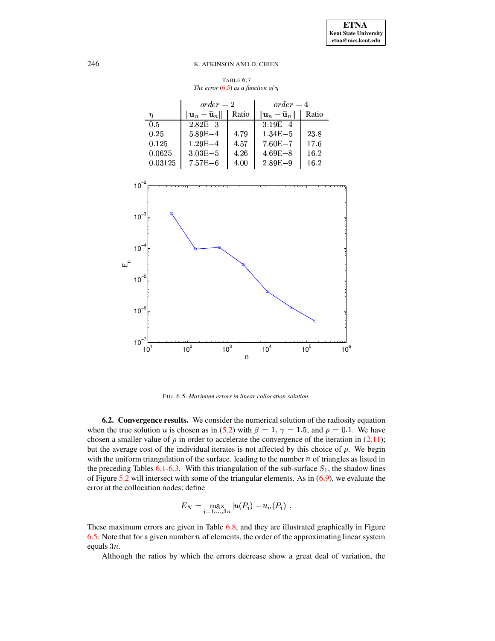TABLE 6.7 *The error*  $(6.5)$  *as a function of*  $\eta$ 

<span id="page-27-0"></span>

|         | $order = 2$                                   |       | $order = 4$                                   |       |  |
|---------|-----------------------------------------------|-------|-----------------------------------------------|-------|--|
| η       | $\ \mathbf{u}_n - \widetilde{\mathbf{u}}_n\ $ | Ratio | $\ \mathbf{u}_n - \widetilde{\mathbf{u}}_n\ $ | Ratio |  |
| 0.5     | $2.82E - 3$                                   |       | $3.19E - 4$                                   |       |  |
| 0.25    | $5.89E - 4$                                   | 4.79  | $1.34E - 5$                                   | 23.8  |  |
| 0.125   | $1.29E - 4$                                   | 4.57  | $7.60E - 7$                                   | 17.6  |  |
| 0.0625  | $3.03E - 5$                                   | 4.26  | $4.69E - 8$                                   | 16.2  |  |
| 0.03125 | $7.57E - 6$                                   | 4.00  | $2.89E - 9$                                   | 16.2  |  |



<span id="page-27-1"></span>FIG. 6.5. *Maximum errors in linear collocation solution.*

<span id="page-27-2"></span>**6.2. Convergence results.** We consider the numerical solution of the radiosity equation when the true solution u is chosen as in [\(5.2\)](#page-20-0) with  $\beta = 1$ ,  $\gamma = 1.5$ , and  $\rho = 0.1$ . We have chosen a smaller value of  $\rho$  in order to accelerate the convergence of the iteration in [\(2.11\)](#page-5-2); but the average cost of the individual iterates is not affected by this choice of  $\rho$ . We begin with the uniform triangulation of the surface. leading to the number  $n$  of triangles as listed in the preceding Tables [6.1-](#page-21-3)[6.3.](#page-23-1) With this triangulation of the sub-surface  $S_1$ , the shadow lines of Figure [5.2](#page-19-1) will intersect with some of the triangular elements. As in [\(6.9\)](#page-25-2), we evaluate the error at the collocation nodes; define

$$
E_N = \max_{i=1,...,3n} |u(P_i) - u_n(P_i)|.
$$

These maximum errors are given in Table [6.8,](#page-28-0) and they are illustrated graphically in Figure [6.5.](#page-27-1) Note that for a given number  $n$  of elements, the order of the approximating linear system equals  $3n$ .

Although the ratios by which the errors decrease show a great deal of variation, the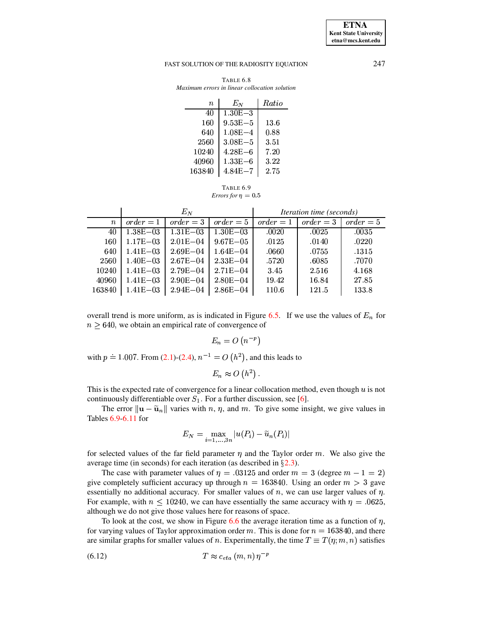**ETNA Kent State University**  $etna@mcs. kent.edu$ 

#### <span id="page-28-0"></span>FAST SOLUTION OF THE RADIOSITY EQUATION

| TABLE 6.8 |  |  |  |                                               |  |  |
|-----------|--|--|--|-----------------------------------------------|--|--|
|           |  |  |  | Maximum errors in linear collocation solution |  |  |

| $\it n$ | $E_N$       | Ratio |
|---------|-------------|-------|
| 40      | $1.30E - 3$ |       |
| 160     | $9.53E - 5$ | 13.6  |
| 640     | $1.08E - 4$ | 0.88  |
| 2560    | $3.08E - 5$ | 3.51  |
| 10240   | $4.28E - 6$ | 7.20  |
| 40960   | $1.33E - 6$ | 3.22  |
| 163840  | $4.84E - 7$ | 2.75  |
|         |             |       |

<span id="page-28-1"></span>TABLE 6.9  
Errors for 
$$
\eta = 0.5
$$

|                  | $E_N$        |              |              | <i>Iteration time (seconds)</i> |             |             |
|------------------|--------------|--------------|--------------|---------------------------------|-------------|-------------|
| $\boldsymbol{n}$ | $order = 1$  | $order = 3$  | $order = 5$  | $order = 1$                     | $order = 3$ | $order = 5$ |
| 40               | $1.38E - 03$ | $1.31E - 03$ | $1.30E - 03$ | .0020                           | .0025       | .0035       |
| 160              | $1.17E - 03$ | $2.01E - 04$ | $9.67E - 05$ | .0125                           | .0140       | .0220       |
| 640              | $1.41E - 03$ | $2.69E - 04$ | $1.64E - 04$ | .0660                           | .0755       | .1315       |
| 2560             | $1.40E - 03$ | $2.67E - 04$ | $2.33E - 04$ | .5720                           | .6085       | .7070       |
| 10240            | $1.41E - 03$ | $2.79E - 04$ | $2.71E - 04$ | 3.45                            | 2.516       | 4.168       |
| 40960            | $1.41E - 03$ | $2.90E - 04$ | $2.80E - 04$ | 19.42                           | 16.84       | 27.85       |
| 163840           | $1.41E - 03$ | $2.94E - 04$ | $2.86E - 04$ | 110.6                           | 121.5       | 133.8       |

overall trend is more uniform, as is indicated in Figure 6.5. If we use the values of  $E_n$  for  $n \geq 640$ , we obtain an empirical rate of convergence of

$$
E_n = O\left(n^{-p}\right)
$$

with  $p = 1.007$ . From (2.1)-(2.4),  $n^{-1} = O(h^2)$ , and this leads to

$$
E_n \approx O(h^2)
$$
.

This is the expected rate of convergence for a linear collocation method, even though  $u$  is not continuously differentiable over  $S_1$ . For a further discussion, see [6].

The error  $\|\mathbf{u} - \tilde{\mathbf{u}}_n\|$  varies with n, n, and m. To give some insight, we give values in Tables 6.9-6.11 for

<span id="page-28-2"></span>
$$
E_N = \max_{i=1,\ldots,3n} |u(P_i) - \widetilde{u}_n(P_i)|
$$

for selected values of the far field parameter  $\eta$  and the Taylor order m. We also give the average time (in seconds) for each iteration (as described in  $\S 2.3$ ).

The case with parameter values of  $\eta = .03125$  and order  $m = 3$  (degree  $m - 1 = 2$ ) give completely sufficient accuracy up through  $n = 163840$ . Using an order  $m > 3$  gave essentially no additional accuracy. For smaller values of  $n$ , we can use larger values of  $\eta$ . For example, with  $n \le 10240$ , we can have essentially the same accuracy with  $\eta = .0625$ , although we do not give those values here for reasons of space.

To look at the cost, we show in Figure 6.6 the average iteration time as a function of  $\eta$ , for varying values of Taylor approximation order m. This is done for  $n = 163840$ , and there are similar graphs for smaller values of n. Experimentally, the time  $T \equiv T(\eta; m, n)$  satisfies

$$
(6.12) \t\t T \approx c_{eta} (m, n) \eta^{-p}
$$

247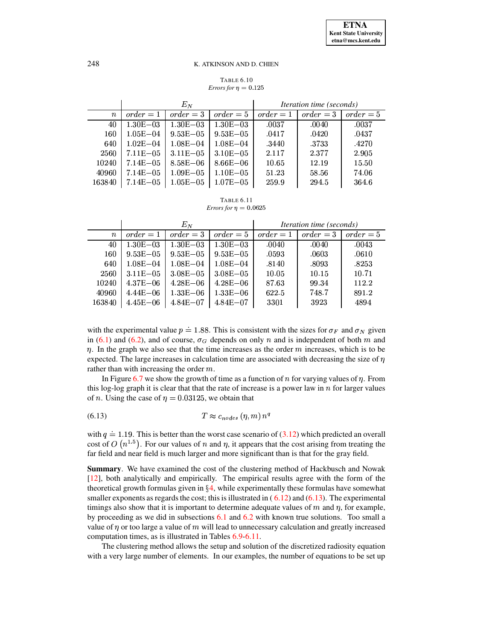#### **TABLE 6.10** *Errors for*  $n = 0.125$

|                  | $E_N$         |              |                     |             | <i>Iteration time (seconds)</i> |             |
|------------------|---------------|--------------|---------------------|-------------|---------------------------------|-------------|
| $\boldsymbol{n}$ | $order = 1$   | $order = 3$  | $order = 5$         | $order = 1$ | $order = 3$                     | $order = 5$ |
| 40               | $1.30E - 0.3$ | $1.30E - 03$ | $1.30E - 03$        | .0037       | .0040                           | .0037       |
| 160              | $1.05E - 04$  | $9.53E - 05$ | $9.53E\mathrm{-}05$ | .0417       | .0420                           | .0437       |
| 640              | $1.02E - 04$  | $1.08E - 04$ | $1.08E - 04$        | .3440       | .3733                           | .4270       |
| 2560             | $7.11E - 05$  | $3.11E - 05$ | $3.10E - 05$        | 2.117       | 2.377                           | 2.905       |
| 10240            | $7.14E - 05$  | $8.58E - 06$ | $8.66E - 06$        | 10.65       | 12.19                           | 15.50       |
| 40960            | $7.14E - 05$  | $1.09E - 05$ | $1.10E - 0.5$       | 51.23       | 58.56                           | 74.06       |
| 163840           | $7.14E - 05$  | $1.05E - 05$ | $1.07E - 05$        | 259.9       | 294.5                           | 364.6       |

<span id="page-29-0"></span>**TABLE 6.11** *Errors for*  $\eta = 0.0625$ 

|                  | $E_N$         |              |              | <i>Iteration time (seconds)</i> |             |             |
|------------------|---------------|--------------|--------------|---------------------------------|-------------|-------------|
| $\boldsymbol{n}$ | $order = 1$   | $order = 3$  | $order = 5$  | $order = 1$                     | $order = 3$ | $order = 5$ |
| 40               | $1.30E - 0.3$ | $1.30E - 03$ | $1.30E - 03$ | .0040                           | .0040       | .0043       |
| 160              | $9.53E - 05$  | $9.53E - 05$ | $9.53E - 05$ | .0593                           | .0603       | .0610       |
| 640              | $1.08E - 04$  | $1.08E - 04$ | $1.08E - 04$ | .8140                           | .8093       | .8253       |
| 2560             | $3.11E - 05$  | $3.08E - 05$ | $3.08E - 05$ | 10.05                           | 10.15       | 10.71       |
| 10240            | $4.37E - 06$  | $4.28E - 06$ | $4.28E - 06$ | 87.63                           | 99.34       | 112.2       |
| 40960            | $4.44E - 06$  | $1.33E - 06$ | $1.33E - 06$ | 622.5                           | 748.7       | 891.2       |
| 163840           | $4.45E - 06$  | $4.84E - 07$ | $4.84E - 07$ | 3301                            | 3923        | 4894        |

with the experimental value  $p \doteq 1.88$ . This is consistent with the sizes for  $\sigma_F$  and  $\sigma_N$  given in (6.1) and (6.2), and of course,  $\sigma_G$  depends on only n and is independent of both m and  $\eta$ . In the graph we also see that the time increases as the order  $m$  increases, which is to be expected. The large increases in calculation time are associated with decreasing the size of  $\eta$ rather than with increasing the order  $m$ .

<span id="page-29-1"></span>In Figure 6.7 we show the growth of time as a function of n for varying values of  $\eta$ . From this log-log graph it is clear that that the rate of increase is a power law in n for larger values of *n*. Using the case of  $\eta = 0.03125$ , we obtain that

$$
(6.13) \t\t T \approx c_{nodes} (\eta, m) n^q
$$

with  $q \doteq 1.19$ . This is better than the worst case scenario of (3.12) which predicted an overall cost of  $O(n^{1.5})$ . For our values of n and  $\eta$ , it appears that the cost arising from treating the far field and near field is much larger and more significant than is that for the gray field.

**Summary.** We have examined the cost of the clustering method of Hackbusch and Nowak [12], both analytically and empirically. The empirical results agree with the form of the theoretical growth formulas given in  $\S 4$ , while experimentally these formulas have somewhat smaller exponents as regards the cost; this is illustrated in  $(6.12)$  and  $(6.13)$ . The experimental timings also show that it is important to determine adequate values of  $m$  and  $\eta$ , for example, by proceeding as we did in subsections  $6.1$  and  $6.2$  with known true solutions. Too small a value of  $\eta$  or too large a value of  $m$  will lead to unnecessary calculation and greatly increased computation times, as is illustrated in Tables 6.9-6.11.

The clustering method allows the setup and solution of the discretized radiosity equation with a very large number of elements. In our examples, the number of equations to be set up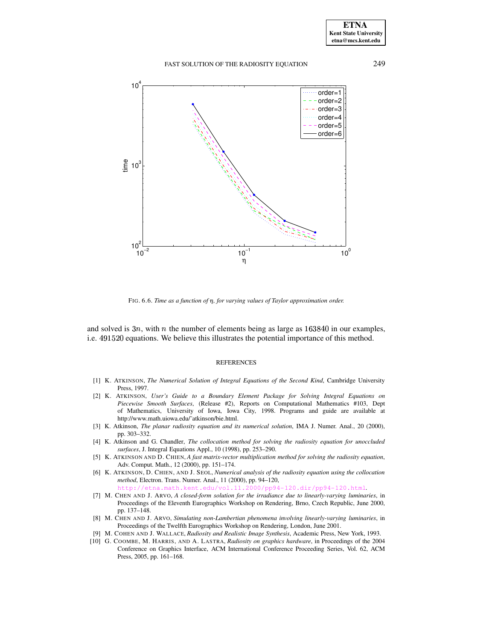

FIG. 6.6. *Time as a function of* °*, for varying values of Taylor approximation order.*

<span id="page-30-10"></span>and solved is  $3n$ , with n the number of elements being as large as  $163840$  in our examples, i.e. 491520 equations. We believe this illustrates the potential importance of this method.

#### REFERENCES

- <span id="page-30-5"></span>[1] K. ATKINSON, *The Numerical Solution of Integral Equations of the Second Kind*, Cambridge University Press, 1997.
- <span id="page-30-6"></span>[2] K. ATKINSON, *User's Guide to a Boundary Element Package for Solving Integral Equations on Piecewise Smooth Surfaces*, (Release #2), Reports on Computational Mathematics #103, Dept of Mathematics, University of Iowa, Iowa City, 1998. Programs and guide are available at http://www.math.uiowa.edu/˜atkinson/bie.html.
- <span id="page-30-9"></span>[3] K. Atkinson, *The planar radiosity equation and its numerical solution*, IMA J. Numer. Anal., 20 (2000), pp. 303–332.
- <span id="page-30-1"></span>[4] K. Atkinson and G. Chandler, *The collocation method for solving the radiosity equation for unoccluded surfaces*, J. Integral Equations Appl., 10 (1998), pp. 253–290.
- <span id="page-30-3"></span>[5] K. ATKINSON AND D. CHIEN, *A fast matrix-vector multiplication method for solving the radiosity equation*, Adv. Comput. Math., 12 (2000), pp. 151–174.
- <span id="page-30-2"></span>[6] K. ATKINSON, D. CHIEN, AND J. SEOL, *Numerical analysis of the radiosity equation using the collocation method*, Electron. Trans. Numer. Anal., 11 (2000), pp. 94–120,
- <span id="page-30-7"></span><http://etna.math.kent.edu/vol.11.2000/pp94-120.dir/pp94-120.html>. [7] M. CHEN AND J. ARVO, *A closed-form solution for the irradiance due to linearly-varying luminaries*, in Proceedings of the Eleventh Eurographics Workshop on Rendering, Brno, Czech Republic, June 2000,
- <span id="page-30-8"></span>pp. 137–148. [8] M. CHEN AND J. ARVO, *Simulating non-Lambertian phenomena involving linearly-varying luminaries*, in
- Proceedings of the Twelfth Eurographics Workshop on Rendering, London, June 2001.
- <span id="page-30-0"></span>[9] M. COHEN AND J. WALLACE, *Radiosity and Realistic Image Synthesis*, Academic Press, New York, 1993.
- <span id="page-30-4"></span>[10] G. COOMBE, M. HARRIS, AND A. LASTRA, *Radiosity on graphics hardware*, in Proceedings of the 2004 Conference on Graphics Interface, ACM International Conference Proceeding Series, Vol. 62, ACM Press, 2005, pp. 161–168.